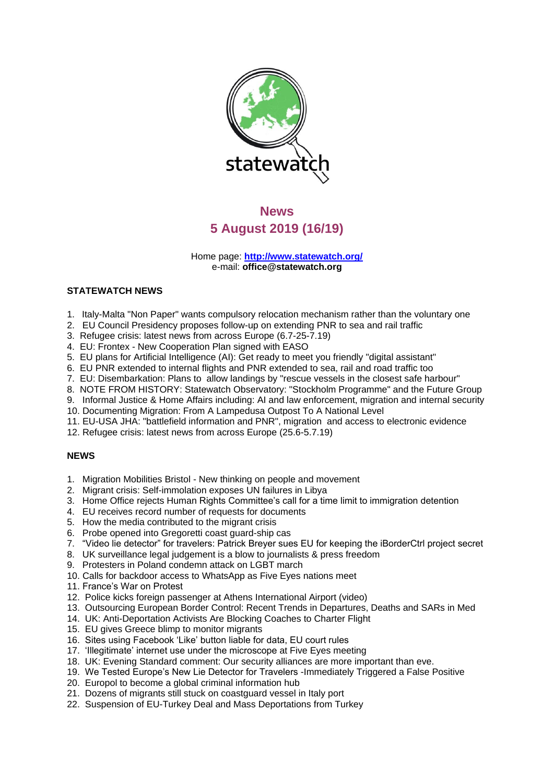

# **News 5 August 2019 (16/19)**

Home page: **<http://www.statewatch.org/>** e-mail: **[office@statewatch.org](mailto:office@statewatch.org)**

# **STATEWATCH NEWS**

- 1. Italy-Malta "Non Paper" wants compulsory relocation mechanism rather than the voluntary one
- 2. EU Council Presidency proposes follow-up on extending PNR to sea and rail traffic
- 3. Refugee crisis: latest news from across Europe (6.7-25-7.19)
- 4. EU: Frontex New Cooperation Plan signed with EASO
- 5. EU plans for Artificial Intelligence (AI): Get ready to meet you friendly "digital assistant"
- 6. EU PNR extended to internal flights and PNR extended to sea, rail and road traffic too
- 7. EU: Disembarkation: Plans to allow landings by "rescue vessels in the closest safe harbour"
- 8. NOTE FROM HISTORY: Statewatch Observatory: "Stockholm Programme" and the Future Group
- 9. Informal Justice & Home Affairs including: AI and law enforcement, migration and internal security
- 10. Documenting Migration: From A Lampedusa Outpost To A National Level
- 11. EU-USA JHA: "battlefield information and PNR", migration and access to electronic evidence
- 12. Refugee crisis: latest news from across Europe (25.6-5.7.19)

## **NEWS**

- 1. Migration Mobilities Bristol New thinking on people and movement
- 2. Migrant crisis: Self-immolation exposes UN failures in Libya
- 3. Home Office rejects Human Rights Committee's call for a time limit to immigration detention
- 4. EU receives record number of requests for documents
- 5. How the media contributed to the migrant crisis
- 6. Probe opened into Gregoretti coast guard-ship cas
- 7. "Video lie detector" for travelers: Patrick Breyer sues EU for keeping the iBorderCtrl project secret
- 8. UK surveillance legal judgement is a blow to journalists & press freedom
- 9. Protesters in Poland condemn attack on LGBT march
- 10. Calls for backdoor access to WhatsApp as Five Eyes nations meet
- 11. France's War on Protest
- 12. Police kicks foreign passenger at Athens International Airport (video)
- 13. Outsourcing European Border Control: Recent Trends in Departures, Deaths and SARs in Med
- 14. UK: Anti-Deportation Activists Are Blocking Coaches to Charter Flight
- 15. EU gives Greece blimp to monitor migrants
- 16. Sites using Facebook 'Like' button liable for data, EU court rules
- 17. 'Illegitimate' internet use under the microscope at Five Eyes meeting
- 18. UK: Evening Standard comment: Our security alliances are more important than eve.
- 19. We Tested Europe's New Lie Detector for Travelers -Immediately Triggered a False Positive
- 20. Europol to become a global criminal information hub
- 21. Dozens of migrants still stuck on coastguard vessel in Italy port
- 22. Suspension of EU-Turkey Deal and Mass Deportations from Turkey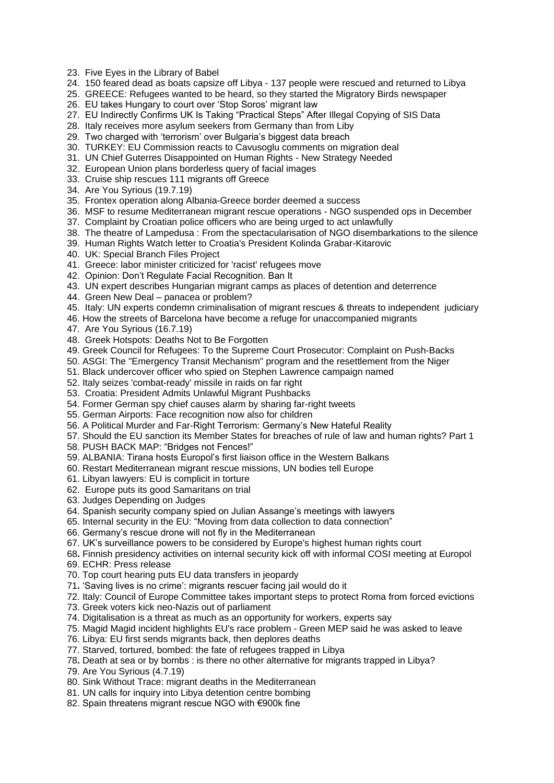- 23. Five Eyes in the Library of Babel
- 24. 150 feared dead as boats capsize off Libya 137 people were rescued and returned to Libya
- 25. GREECE: Refugees wanted to be heard, so they started the Migratory Birds newspaper
- 26. EU takes Hungary to court over 'Stop Soros' migrant law
- 27. EU Indirectly Confirms UK Is Taking "Practical Steps" After Illegal Copying of SIS Data
- 28. Italy receives more asylum seekers from Germany than from Liby
- 29. Two charged with 'terrorism' over Bulgaria's biggest data breach
- 30. TURKEY: EU Commission reacts to Cavusoglu comments on migration deal
- 31. UN Chief Guterres Disappointed on Human Rights New Strategy Needed
- 32. European Union plans borderless query of facial images
- 33. Cruise ship rescues 111 migrants off Greece
- 34. Are You Syrious (19.7.19)
- 35. Frontex operation along Albania-Greece border deemed a success
- 36. MSF to resume Mediterranean migrant rescue operations NGO suspended ops in December
- 37. Complaint by Croatian police officers who are being urged to act unlawfully
- 38. The theatre of Lampedusa : From the spectacularisation of NGO disembarkations to the silence
- 39. Human Rights Watch letter to Croatia's President Kolinda Grabar-Kitarovic
- 40. UK: Special Branch Files Project
- 41. Greece: labor minister criticized for 'racist' refugees move
- 42. Opinion: Don't Regulate Facial Recognition. Ban It
- 43. UN expert describes Hungarian migrant camps as places of detention and deterrence
- 44. Green New Deal panacea or problem?
- 45. Italy: UN experts condemn criminalisation of migrant rescues & threats to independent judiciary
- 46. How the streets of Barcelona have become a refuge for unaccompanied migrants
- 47. Are You Syrious (16.7.19)
- 48. Greek Hotspots: Deaths Not to Be Forgotten
- 49. Greek Council for Refugees: To the Supreme Court Prosecutor: Complaint on Push-Backs
- 50. ASGI: The "Emergency Transit Mechanism" program and the resettlement from the Niger
- 51. Black undercover officer who spied on Stephen Lawrence campaign named
- 52. Italy seizes 'combat-ready' missile in raids on far right
- 53. Croatia: President Admits Unlawful Migrant Pushbacks
- 54. Former German spy chief causes alarm by sharing far-right tweets
- 55. German Airports: Face recognition now also for children
- 56. A Political Murder and Far-Right Terrorism: Germany's New Hateful Reality
- 57. Should the EU sanction its Member States for breaches of rule of law and human rights? Part 1
- 58. PUSH BACK MAP: "Bridges not Fences!"
- 59. ALBANIA: Tirana hosts Europol's first liaison office in the Western Balkans
- 60. Restart Mediterranean migrant rescue missions, UN bodies tell Europe
- 61. Libyan lawyers: EU is complicit in torture
- 62. Europe puts its good Samaritans on trial
- 63. Judges Depending on Judges
- 64. Spanish security company spied on Julian Assange's meetings with lawyers
- 65. Internal security in the EU: "Moving from data collection to data connection"
- 66. Germany's rescue drone will not fly in the Mediterranean
- 67. UK's surveillance powers to be considered by Europe's highest human rights court
- 68**.** Finnish presidency activities on internal security kick off with informal COSI meeting at Europol
- 69. ECHR: Press release
- 70. Top court hearing puts EU data transfers in jeopardy
- 71**.** 'Saving lives is no crime': migrants rescuer facing jail would do it
- 72. Italy: Council of Europe Committee takes important steps to protect Roma from forced evictions
- 73. Greek voters kick neo-Nazis out of parliament
- 74. Digitalisation is a threat as much as an opportunity for workers, experts say
- 75. Magid Magid incident highlights EU's race problem Green MEP said he was asked to leave
- 76. Libya: EU first sends migrants back, then deplores deaths
- 77. Starved, tortured, bombed: the fate of refugees trapped in Libya
- 78**.** Death at sea or by bombs : is there no other alternative for migrants trapped in Libya?
- 79. Are You Syrious (4.7.19)
- 80. Sink Without Trace: migrant deaths in the Mediterranean
- 81. UN calls for inquiry into Libya detention centre bombing
- 82. Spain threatens migrant rescue NGO with €900k fine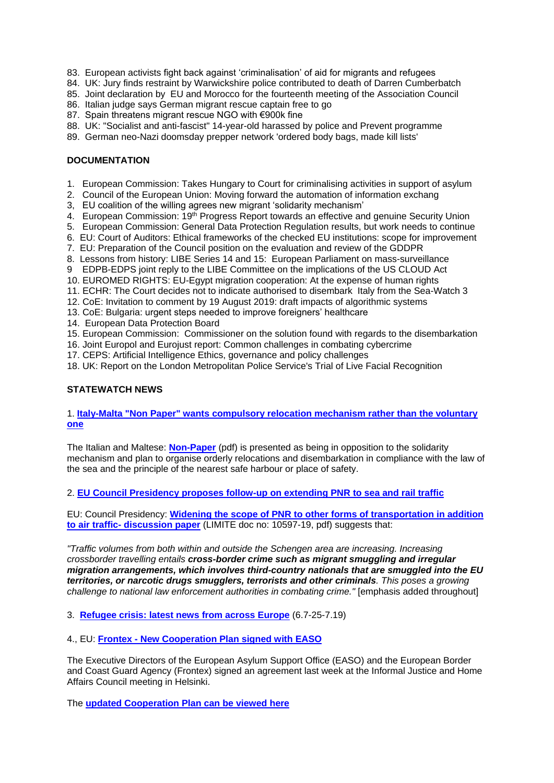- 83. European activists fight back against 'criminalisation' of aid for migrants and refugees
- 84. UK: Jury finds restraint by Warwickshire police contributed to death of Darren Cumberbatch
- 85. Joint declaration by EU and Morocco for the fourteenth meeting of the Association Council
- 86. Italian judge says German migrant rescue captain free to go
- 87. Spain threatens migrant rescue NGO with €900k fine
- 88. UK: "Socialist and anti-fascist" 14-year-old harassed by police and Prevent programme
- 89. German neo-Nazi doomsday prepper network 'ordered body bags, made kill lists'

# **DOCUMENTATION**

- 1. European Commission: Takes Hungary to Court for criminalising activities in support of asylum
- 2. Council of the European Union: Moving forward the automation of information exchang
- 3, EU coalition of the willing agrees new migrant 'solidarity mechanism'
- 4. European Commission: 19<sup>th</sup> Progress Report towards an effective and genuine Security Union
- 5. European Commission: General Data Protection Regulation results, but work needs to continue
- 6. EU: Court of Auditors: Ethical frameworks of the checked EU institutions: scope for improvement
- 7. EU: Preparation of the Council position on the evaluation and review of the GDDPR
- 8. Lessons from history: LIBE Series 14 and 15: European Parliament on mass-surveillance
- 9 EDPB-EDPS joint reply to the LIBE Committee on the implications of the US CLOUD Act
- 10. EUROMED RIGHTS: EU-Egypt migration cooperation: At the expense of human rights
- 11. ECHR: The Court decides not to indicate authorised to disembark Italy from the Sea-Watch 3
- 12. CoE: Invitation to comment by 19 August 2019: draft impacts of algorithmic systems
- 13. CoE: Bulgaria: urgent steps needed to improve foreigners' healthcare
- 14. European Data Protection Board
- 15. European Commission: Commissioner on the solution found with regards to the disembarkation
- 16. Joint Europol and Eurojust report: Common challenges in combating cybercrime
- 17. CEPS: Artificial Intelligence Ethics, governance and policy challenges

18. UK: Report on the London Metropolitan Police Service's Trial of Live Facial Recognition

## **STATEWATCH NEWS**

# 1. **[Italy-Malta "Non Paper" wants compulsory relocation mechanism rather than the voluntary](http://www.statewatch.org/news/2019/aug/italy-malta.htm)  [one](http://www.statewatch.org/news/2019/aug/italy-malta.htm)**

The Italian and Maltese: **[Non-Paper](http://www.statewatch.org/news/2019/jul/eu-Italy-%20Malta-Non-paper.pdf)** (pdf) is presented as being in opposition to the solidarity mechanism and plan to organise orderly relocations and disembarkation in compliance with the law of the sea and the principle of the nearest safe harbour or place of safety.

2. **[EU Council Presidency proposes follow-up on extending PNR to sea and rail traffic](http://www.statewatch.org/news/2019/aug/eu-pnr-all-borders-follow-up.htm)**

EU: Council Presidency: **Widening [the scope of PNR to other forms of transportation in addition](http://www.statewatch.org/news/2019/aug/eu-council-widening-PNR-10597-19.pdf)  to air traffic- [discussion paper](http://www.statewatch.org/news/2019/aug/eu-council-widening-PNR-10597-19.pdf)** (LIMITE doc no: 10597-19, pdf) suggests that:

*"Traffic volumes from both within and outside the Schengen area are increasing. Increasing crossborder travelling entails cross-border crime such as migrant smuggling and irregular migration arrangements, which involves third-country nationals that are smuggled into the EU territories, or narcotic drugs smugglers, terrorists and other criminals. This poses a growing challenge to national law enforcement authorities in combating crime."* [emphasis added throughout]

3. **[Refugee crisis: latest news from across Europe](http://www.statewatch.org/news/2019/jul/refugees-5-7-19-25-7-19.htm)** (6.7-25-7.19)

# 4., EU: **Frontex - [New Cooperation Plan signed with EASO](http://www.statewatch.org/news/2019/jul/eu-frontex-easo.htm)**

The Executive Directors of the European Asylum Support Office (EASO) and the European Border and Coast Guard Agency (Frontex) signed an agreement last week at the Informal Justice and Home Affairs Council meeting in Helsinki.

The **[updated Cooperation Plan can be viewed here](https://www.easo.europa.eu/sites/default/files/easo-frontex-cooperation-plan-2019-2021.pdf)**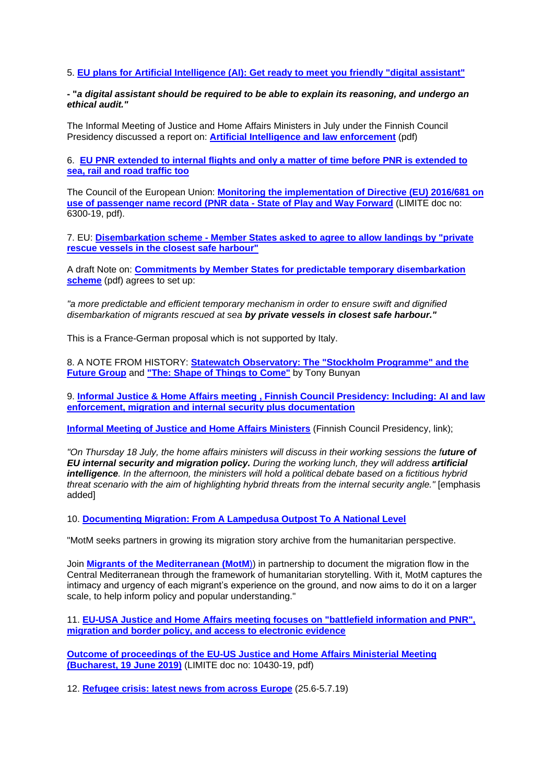## 5. **[EU plans for Artificial Intelligence \(AI\): Get ready to meet you friendly](http://www.statewatch.org/news/2019/jul/eu-ai-plans.htm) "digital assistant"**

## **- "***a digital assistant should be required to be able to explain its reasoning, and undergo an ethical audit."*

The Informal Meeting of Justice and Home Affairs Ministers in July under the Finnish Council Presidency discussed a report on: **[Artificial Intelligence and law enforcement](http://www.statewatch.org/news/2019/jul/eu-council-informal-JHA-AI-and-Law-Enforcement.pdf)** (pdf)

6. **EU PNR extended [to internal flights and only a matter of time before PNR is extended to](http://www.statewatch.org/news/2019/jul/eu-pnr-all-borders.htm) [sea, rail and road traffic too](http://www.statewatch.org/news/2019/jul/eu-pnr-all-borders.htm)** 

The Council of the European Union: **[Monitoring the implementation of Directive \(EU\) 2016/681 on](http://www.statewatch.org/news/2019/jul/eu-council-pnr-policy-debate-6300-19.pdf)  [use of passenger name record \(PNR data -](http://www.statewatch.org/news/2019/jul/eu-council-pnr-policy-debate-6300-19.pdf) State of Play and Way Forward** (LIMITE doc no: 6300-19, pdf).

7. EU: **Disembarkation scheme - [Member States asked to agree to allow landings by "private](http://www.statewatch.org/news/2019/jul/eu-disembarkation-note.htm)  [rescue vessels in the closest safe harbour"](http://www.statewatch.org/news/2019/jul/eu-disembarkation-note.htm)**

A draft Note on: **[Commitments by Member States for predictable temporary disembarkation](http://www.statewatch.org/news/2019/jul/eu-com-disembarkation-note.pdf)  [scheme](http://www.statewatch.org/news/2019/jul/eu-com-disembarkation-note.pdf)** (pdf) agrees to set up:

*"a more predictable and efficient temporary mechanism in order to ensure swift and dignified disembarkation of migrants rescued at sea by private vessels in closest safe harbour."*

This is a France-German proposal which is not supported by Italy.

8. A NOTE FROM HISTORY: **[Statewatch Observatory: The "Stockholm Programme" and the](http://www.statewatch.org/future-group.htm)  [Future Group](http://www.statewatch.org/future-group.htm)** and **["The: Shape of Things to Come"](http://www.statewatch.org/analyses/eu-future-group-the-shape-of-things-to-come.pdf)** by Tony Bunyan

9. **[Informal Justice & Home Affairs meeting , Finnish Council Presidency: Including: AI and law](http://www.statewatch.org/news/2019/jul/eu%3Dcounciljha-informal.htm)  [enforcement, migration and internal security plus documentation](http://www.statewatch.org/news/2019/jul/eu%3Dcounciljha-informal.htm)**

**[Informal Meeting of Justice and Home Affairs Ministers](https://eu2019.fi/en/events/2019-07-18/informal-meeting-of-ministers-for-justice-and-home-affairs)** (Finnish Council Presidency, link);

*"On Thursday 18 July, the home affairs ministers will discuss in their working sessions the future of EU internal security and migration policy. During the working lunch, they will address artificial intelligence. In the afternoon, the ministers will hold a political debate based on a fictitious hybrid threat scenario with the aim of highlighting hybrid threats from the internal security angle."* [emphasis added]

10. **[Documenting Migration: From A Lampedusa Outpost To A National Level](http://www.statewatch.org/news/2019/jul/migraants-med.htm)** 

"MotM seeks partners in growing its migration story archive from the humanitarian perspective.

Join **[Migrants of the Mediterranean \(MotM](http://www.migrantsofthemed.com/)**)) in partnership to document the migration flow in the Central Mediterranean through the framework of humanitarian storytelling. With it, MotM captures the intimacy and urgency of each migrant's experience on the ground, and now aims to do it on a larger scale, to help inform policy and popular understanding."

11. **[EU-USA Justice and Home Affairs meeting focuses on "battlefield information and PNR",](http://www.statewatch.org/news/2019/jul/eu-usa-meet.htm)  [migration and border policy, and access to electronic evidence](http://www.statewatch.org/news/2019/jul/eu-usa-meet.htm)**

**[Outcome of proceedings of the EU-US Justice and Home Affairs Ministerial Meeting](http://www.statewatch.org/news/2019/jul/eu-council-eu-usa-10430-19.pdf)  [\(Bucharest, 19 June 2019\)](http://www.statewatch.org/news/2019/jul/eu-council-eu-usa-10430-19.pdf)** (LIMITE doc no: 10430-19, pdf)

12. **[Refugee crisis: latest news from across Europe](http://www.statewatch.org/news/2019/jul/eu-med-crisis-25-6-5-7-19.htm)** (25.6-5.7.19)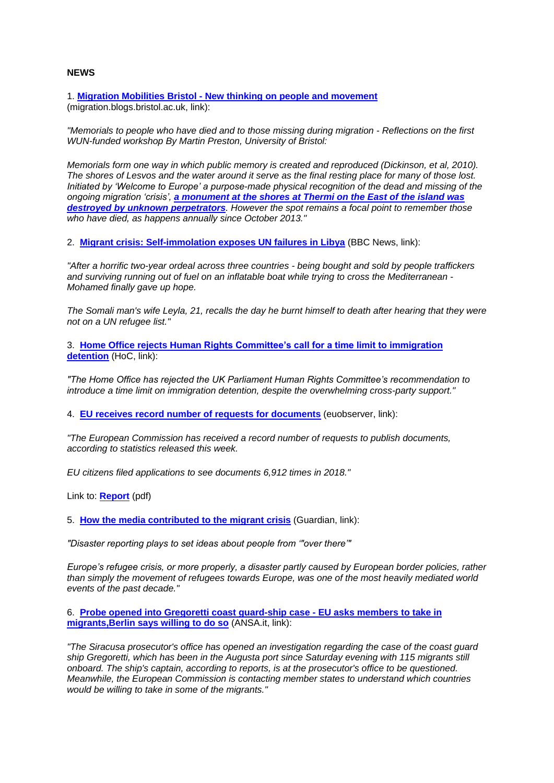## **NEWS**

1. **Migration Mobilities Bristol - [New thinking on people and movement](https://migration.blogs.bristol.ac.uk/2019/08/01/memorials-to-people-who-have-died-and-to-those-missing-during-migration/)** (migration.blogs.bristol.ac.uk, link):

*"Memorials to people who have died and to those missing during migration - Reflections on the first WUN-funded workshop By Martin Preston, University of Bristol:*

*Memorials form one way in which public memory is created and reproduced (Dickinson, et al, 2010). The shores of Lesvos and the water around it serve as the final resting place for many of those lost. Initiated by 'Welcome to Europe' a purpose-made physical recognition of the dead and missing of the ongoing migration 'crisis', [a monument at the shores at Thermi on the East of the island was](http://lesvos.w2eu.net/2017/10/25/memorial-for-the-dear-of-the-european-borders-thermilesvos-25th-of-october-2017/)  [destroyed by unknown perpetrators](http://lesvos.w2eu.net/2017/10/25/memorial-for-the-dear-of-the-european-borders-thermilesvos-25th-of-october-2017/). However the spot remains a focal point to remember those who have died, as happens annually since October 2013."*

2. **[Migrant crisis: Self-immolation](https://www.bbc.co.uk/news/world-africa-49154959) exposes UN failures in Libya** (BBC News, link):

*"After a horrific two-year ordeal across three countries - being bought and sold by people traffickers and surviving running out of fuel on an inflatable boat while trying to cross the Mediterranean - Mohamed finally gave up hope.*

*The Somali man's wife Leyla, 21, recalls the day he burnt himself to death after hearing that they were not on a UN refugee list."*

3. **Home Office rejects Human [Rights Committee's call for a time limit to immigration](https://www.parliament.uk/business/committees/committees-a-z/joint-select/human-rights-committee/news-parliament-2017/time-limit-immigration-govt-response-published-17-19/?utm_source=ECRE+Newsletters&utm_campaign=55b2a345e0-EMAIL_CAMPAIGN_2019_08_01_12_15&utm_medium=email&utm_term=0_3ec9497afd-55b2a345e0-422304057)  [detention](https://www.parliament.uk/business/committees/committees-a-z/joint-select/human-rights-committee/news-parliament-2017/time-limit-immigration-govt-response-published-17-19/?utm_source=ECRE+Newsletters&utm_campaign=55b2a345e0-EMAIL_CAMPAIGN_2019_08_01_12_15&utm_medium=email&utm_term=0_3ec9497afd-55b2a345e0-422304057)** (HoC, link):

*"The Home Office has rejected the UK Parliament Human Rights Committee's recommendation to introduce a time limit on immigration detention, despite the overwhelming cross-party support."*

4. **[EU receives record number of requests for documents](https://euobserver.com/institutional/145572)** (euobserver, link):

*"The European Commission has received a record number of requests to publish documents, according to statistics released this week.*

*EU citizens filed applications to see documents 6,912 times in 2018."*

Link to: **[Report](https://ec.europa.eu/info/sites/info/files/com-2019-356-annual-report-access-documents_en.pdf)** (pdf)

5. **[How the media contributed to the migrant crisis](https://www.theguardian.com/news/2019/aug/01/media-framed-migrant-crisis-disaster-reporting?utm_source=ECRE+Newsletters&utm_campaign=55b2a345e0-EMAIL_CAMPAIGN_2019_08_01_12_15&utm_medium=email&utm_term=0_3ec9497afd-55b2a345e0-422304057)** (Guardian, link):

*"Disaster reporting plays to set ideas about people from '"over there'"*

*Europe's refugee crisis, or more properly, a disaster partly caused by European border policies, rather than simply the movement of refugees towards Europe, was one of the most heavily mediated world events of the past decade."*

6. **Probe opened into [Gregoretti coast guard-ship case -](http://www.ansa.it/english/news/2019/07/30/probe-opened-into-gregoretti-coast-guard-ship-case_e87b84bf-d121-4bcc-b68a-9cd1c9ce0ac9.html?utm_source=NEWS&utm_medium=email&utm_content=1st+Section+1st+Story+ANSA&utm_campaign=HQ_EN_therefugeebrief_external_20190731&utm_source=ECRE+Newsletters&utm_campaign=55b2a345e0-EMAIL_CAMPAIGN_2019_08_01_12_15&utm_medium=email&utm_term=0_3ec9497afd-55b2a345e0-422304057) EU asks members to take in [migrants,Berlin says willing to do so](http://www.ansa.it/english/news/2019/07/30/probe-opened-into-gregoretti-coast-guard-ship-case_e87b84bf-d121-4bcc-b68a-9cd1c9ce0ac9.html?utm_source=NEWS&utm_medium=email&utm_content=1st+Section+1st+Story+ANSA&utm_campaign=HQ_EN_therefugeebrief_external_20190731&utm_source=ECRE+Newsletters&utm_campaign=55b2a345e0-EMAIL_CAMPAIGN_2019_08_01_12_15&utm_medium=email&utm_term=0_3ec9497afd-55b2a345e0-422304057)** (ANSA.it, link):

*"The Siracusa prosecutor's office has opened an investigation regarding the case of the coast guard ship Gregoretti, which has been in the Augusta port since Saturday evening with 115 migrants still onboard. The ship's captain, according to reports, is at the prosecutor's office to be questioned. Meanwhile, the European Commission is contacting member states to understand which countries would be willing to take in some of the migrants."*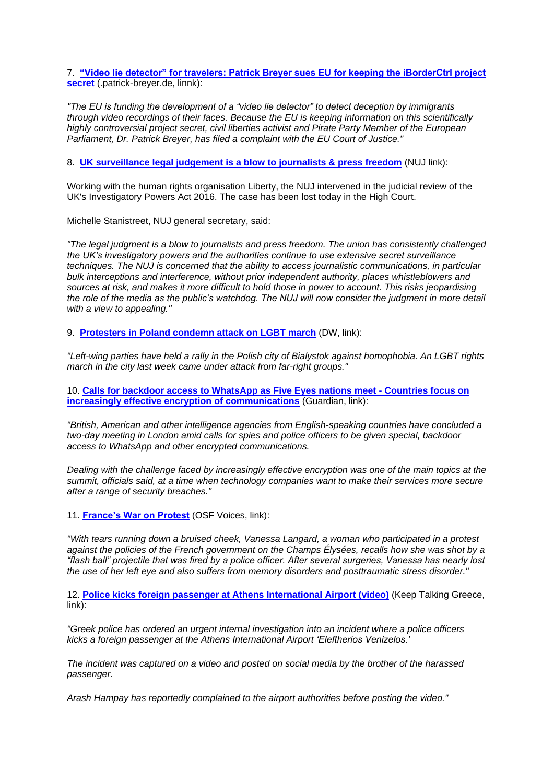7. **["Video lie detector" for travelers: Patrick Breyer sues EU for keeping the iBorderCtrl project](https://www.patrick-breyer.de/?p=589231&lang=en)  [secret](https://www.patrick-breyer.de/?p=589231&lang=en)** (.patrick-breyer.de, linnk):

*"The EU is funding the development of a "video lie detector" to detect deception by immigrants through video recordings of their faces. Because the EU is keeping information on this scientifically highly controversial project secret, civil liberties activist and Pirate Party Member of the European Parliament, Dr. Patrick Breyer, has filed a complaint with the EU Court of Justice."*

8. **[UK surveillance legal judgement is a blow to journalists & press freedom](https://www.nuj.org.uk/news/legal-judgement-blow-ipa/)** (NUJ link):

Working with the human rights organisation Liberty, the NUJ intervened in the judicial review of the UK's Investigatory Powers Act 2016. The case has been lost today in the High Court.

Michelle Stanistreet, NUJ general secretary, said:

*"The legal judgment is a blow to journalists and press freedom. The union has consistently challenged the UK's investigatory powers and the authorities continue to use extensive secret surveillance techniques. The NUJ is concerned that the ability to access journalistic communications, in particular bulk interceptions and interference, without prior independent authority, places whistleblowers and sources at risk, and makes it more difficult to hold those in power to account. This risks jeopardising the role of the media as the public's watchdog. The NUJ will now consider the judgment in more detail with a view to appealing."*

9. **[Protesters in Poland condemn attack on LGBT march](https://www.dw.com/en/protesters-in-poland-condemn-attack-on-lgbt-march/a-49777254)** (DW, link):

*"Left-wing parties have held a rally in the Polish city of Bialystok against homophobia. An LGBT rights march in the city last week came under attack from far-right groups."*

10. **Calls for [backdoor access to WhatsApp as Five Eyes nations meet -](https://www.theguardian.com/uk-news/2019/jul/30/five-eyes-backdoor-access-whatsapp-encryption) Countries focus on [increasingly effective encryption of communications](https://www.theguardian.com/uk-news/2019/jul/30/five-eyes-backdoor-access-whatsapp-encryption)** (Guardian, link):

*"British, American and other intelligence agencies from English-speaking countries have concluded a two-day meeting in London amid calls for spies and police officers to be given special, backdoor access to WhatsApp and other encrypted communications.*

*Dealing with the challenge faced by increasingly effective encryption was one of the main topics at the summit, officials said, at a time when technology companies want to make their services more secure after a range of security breaches."*

11. **[France's War on Protest](https://www.opensocietyfoundations.org/voices/frances-war-on-protest?utm_source=facebook.com&utm_campaign=osffbpg&utm_medium=referral)** (OSF Voices, link):

*"With tears running down a bruised cheek, Vanessa Langard, a woman who participated in a protest against the policies of the French government on the Champs Élysées, recalls how she was shot by a "flash ball" projectile that was fired by a police officer. After several surgeries, Vanessa has nearly lost the use of her left eye and also suffers from memory disorders and posttraumatic stress disorder."*

12. **Police [kicks foreign passenger at Athens International Airport \(video\)](https://www.keeptalkinggreece.com/2019/07/29/police-kicks-foreign-passenger-athens-airport-video/?source=post_page---------------------------)** (Keep Talking Greece, link):

*"Greek police has ordered an urgent internal investigation into an incident where a police officers kicks a foreign passenger at the Athens International Airport 'Eleftherios Venizelos.'*

*The incident was captured on a video and posted on social media by the brother of the harassed passenger.*

*Arash Hampay has reportedly complained to the airport authorities before posting the video."*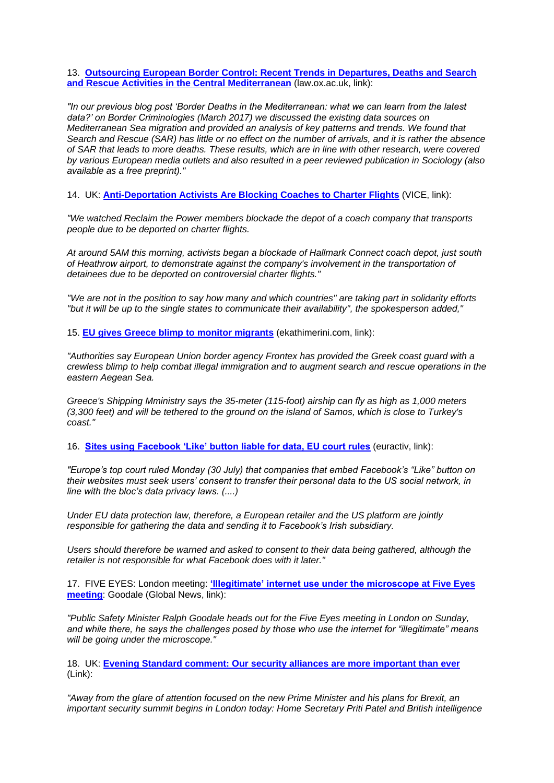13. **[Outsourcing European Border Control: Recent Trends in Departures, Deaths and Search](https://www.law.ox.ac.uk/research-subject-groups/centre-criminology/centreborder-criminologies/blog/2018/09/outsourcing)  [and Rescue Activities in the Central Mediterranean](https://www.law.ox.ac.uk/research-subject-groups/centre-criminology/centreborder-criminologies/blog/2018/09/outsourcing)** (law.ox.ac.uk, link):

*"In our previous blog post 'Border Deaths in the Mediterranean: what we can learn from the latest data?' on Border Criminologies (March 2017) we discussed the existing data sources on Mediterranean Sea migration and provided an analysis of key patterns and trends. We found that Search and Rescue (SAR) has little or no effect on the number of arrivals, and it is rather the absence of SAR that leads to more deaths. These results, which are in line with other research, were covered by various European media outlets and also resulted in a peer reviewed publication in Sociology (also available as a free preprint)."*

14. UK: **[Anti-Deportation Activists Are Blocking Coaches to Charter Flights](https://www.vice.com/en_uk/article/ywyapy/reclaim-the-power-hallmark-coaches-deportation?fbclid=IwAR1CmIMhBzA7M_1Vn656ZHo8rUMZRlyGQhUbl5juOKAzkHleC6fHitUZzHY&source=post_page---------------------------)** (VICE, link):

*"We watched Reclaim the Power members blockade the depot of a coach company that transports people due to be deported on charter flights.*

*At around 5AM this morning, activists began a blockade of Hallmark Connect coach depot, just south of Heathrow airport, to demonstrate against the company's involvement in the transportation of detainees due to be deported on controversial charter flights."*

*''We are not in the position to say how many and which countries'' are taking part in solidarity efforts ''but it will be up to the single states to communicate their availability'', the spokesperson added,"*

15. **[EU gives Greece blimp to monitor migrants](http://www.ekathimerini.com/243086/article/ekathimerini/news/eu-gives-greece-blimp-to-monitor-migrants?utm_source=ECRE+Newsletters&utm_campaign=66c5ffeca2-EMAIL_CAMPAIGN_2019_07_30_10_34&utm_medium=email&utm_term=0_3ec9497afd-66c5ffeca2-422329553)** (ekathimerini.com, link):

*"Authorities say European Union border agency Frontex has provided the Greek coast guard with a crewless blimp to help combat illegal immigration and to augment search and rescue operations in the eastern Aegean Sea.*

*Greece's Shipping Mministry says the 35-meter (115-foot) airship can fly as high as 1,000 meters (3,300 feet) and will be tethered to the ground on the island of Samos, which is close to Turkey's coast."*

16. **[Sites using Facebook 'Like' button liable for data, EU court rules](https://www.euractiv.com/section/digital/news/sites-using-facebook-like-button-liable-for-data-eu-court-rules/)** (euractiv, link):

*"Europe's top court ruled Monday (30 July) that companies that embed Facebook's "Like" button on their websites must seek users' consent to transfer their personal data to the US social network, in line with the bloc's data privacy laws. (....)*

*Under EU data protection law, therefore, a European retailer and the US platform are jointly responsible for gathering the data and sending it to Facebook's Irish subsidiary.*

*Users should therefore be warned and asked to consent to their data being gathered, although the retailer is not responsible for what Facebook does with it later."*

17. FIVE EYES: London meeting: **['Illegitimate' internet use under the microscope at Five Eyes](https://globalnews.ca/news/5689260/illegitimate-internet-use-five-eyes-goodale/)  [meeting](https://globalnews.ca/news/5689260/illegitimate-internet-use-five-eyes-goodale/)**: Goodale (Global News, link):

*"Public Safety Minister Ralph Goodale heads out for the Five Eyes meeting in London on Sunday, and while there, he says the challenges posed by those who use the internet for "illegitimate" means will be going under the microscope."*

18. UK: **[Evening Standard comment: Our security alliances are more important than ever](https://www.standard.co.uk/comment/comment/evening-standard-comment-our-security-alliances-are-more-important-than-ever-clean-up-london-s-air-a4200316.html)** (Link):

*"Away from the glare of attention focused on the new Prime Minister and his plans for Brexit, an important security summit begins in London today: Home Secretary Priti Patel and British intelligence*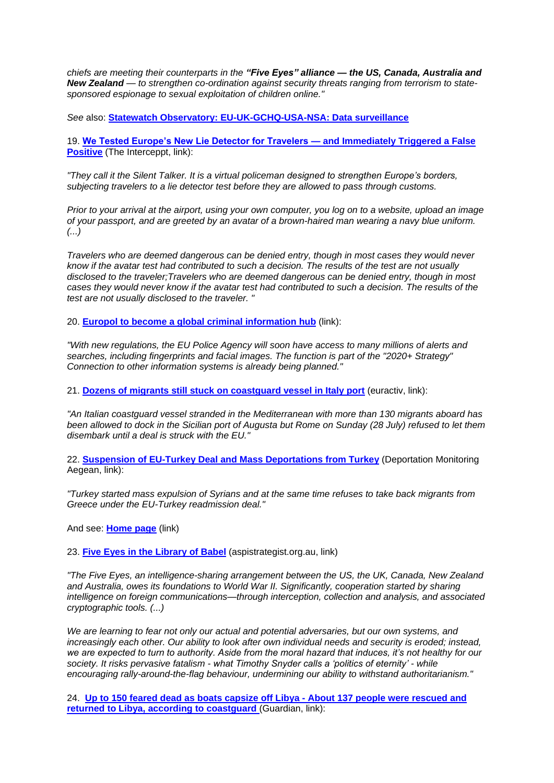*chiefs are meeting their counterparts in the "Five Eyes" alliance — the US, Canada, Australia and New Zealand — to strengthen co-ordination against security threats ranging from terrorism to statesponsored espionage to sexual exploitation of children online."*

*See* also: **[Statewatch Observatory: EU-UK-GCHQ-USA-NSA: Data surveillance](http://www.statewatch.org/eu-usa-data-surveillance.htm)**

19. **[We Tested Europe's New Lie Detector for Travelers —](https://theintercept.com/2019/07/26/europe-border-control-ai-lie-detector/) and Immediately Triggered a False [Positive](https://theintercept.com/2019/07/26/europe-border-control-ai-lie-detector/)** (The Interceppt, link):

*"They call it the Silent Talker. It is a virtual policeman designed to strengthen Europe's borders, subjecting travelers to a lie detector test before they are allowed to pass through customs.*

*Prior to your arrival at the airport, using your own computer, you log on to a website, upload an image of your passport, and are greeted by an avatar of a brown-haired man wearing a navy blue uniform. (...)*

*Travelers who are deemed dangerous can be denied entry, though in most cases they would never know if the avatar test had contributed to such a decision. The results of the test are not usually disclosed to the traveler;Travelers who are deemed dangerous can be denied entry, though in most cases they would never know if the avatar test had contributed to such a decision. The results of the test are not usually disclosed to the traveler. "*

20. **[Europol to become a global criminal information hub](https://digit.site36.net/2019/07/24/europol-to-become-a-global-criminal-information-hub/)** (link):

*"With new regulations, the EU Police Agency will soon have access to many millions of alerts and searches, including fingerprints and facial images. The function is part of the "2020+ Strategy" Connection to other information systems is already being planned."*

21. **[Dozens of migrants still stuck on coastguard vessel in Italy port](https://www.euractiv.com/section/justice-home-affairs/news/dozens-of-migrants-still-stuck-on-coastguard-vessel-in-italy-port/)** (euractiv, link):

*"An Italian coastguard vessel stranded in the Mediterranean with more than 130 migrants aboard has been allowed to dock in the Sicilian port of Augusta but Rome on Sunday (28 July) refused to let them disembark until a deal is struck with the EU."*

22. **[Suspension of EU-Turkey Deal and Mass Deportations from Turkey](https://dm-aegean.bordermonitoring.eu/2019/07/26/suspension-of-eu-turkey-deal-and-mass-deportations-from-turkey/)** (Deportation Monitoring Aegean, link):

*"Turkey started mass expulsion of Syrians and at the same time refuses to take back migrants from Greece under the EU-Turkey readmission deal."*

And see: **[Home page](https://dm-aegean.bordermonitoring.eu/)** (link)

23. **[Five Eyes in the Library of Babel](https://www.aspistrategist.org.au/five-eyes-in-the-library-of-babel/)** (aspistrategist.org.au, link)

*"The Five Eyes, an intelligence-sharing arrangement between the US, the UK, Canada, New Zealand and Australia, owes its foundations to World War II. Significantly, cooperation started by sharing intelligence on foreign communications—through interception, collection and analysis, and associated cryptographic tools. (...)*

*We are learning to fear not only our actual and potential adversaries, but our own systems, and*  increasingly each other. Our ability to look after own individual needs and security is eroded; instead, *we are expected to turn to authority. Aside from the moral hazard that induces, it's not healthy for our society. It risks pervasive fatalism - what Timothy Snyder calls a 'politics of eternity' - while encouraging rally-around-the-flag behaviour, undermining our ability to withstand authoritarianism."*

24. **[Up to 150 feared dead as boats capsize off Libya -](https://www.theguardian.com/global-development/2019/jul/25/up-to-150-people-may-have-died-in-shipwreck-off-libya-says-unhcr?utm_source=ECRE+Newsletters&utm_campaign=54b1037456-EMAIL_CAMPAIGN_2019_07_26_10_32&utm_medium=email&utm_term=0_3ec9497afd-54b1037456-422304057) About 137 people were rescued and [returned to Libya, according to coastguard](https://www.theguardian.com/global-development/2019/jul/25/up-to-150-people-may-have-died-in-shipwreck-off-libya-says-unhcr?utm_source=ECRE+Newsletters&utm_campaign=54b1037456-EMAIL_CAMPAIGN_2019_07_26_10_32&utm_medium=email&utm_term=0_3ec9497afd-54b1037456-422304057)** (Guardian, link):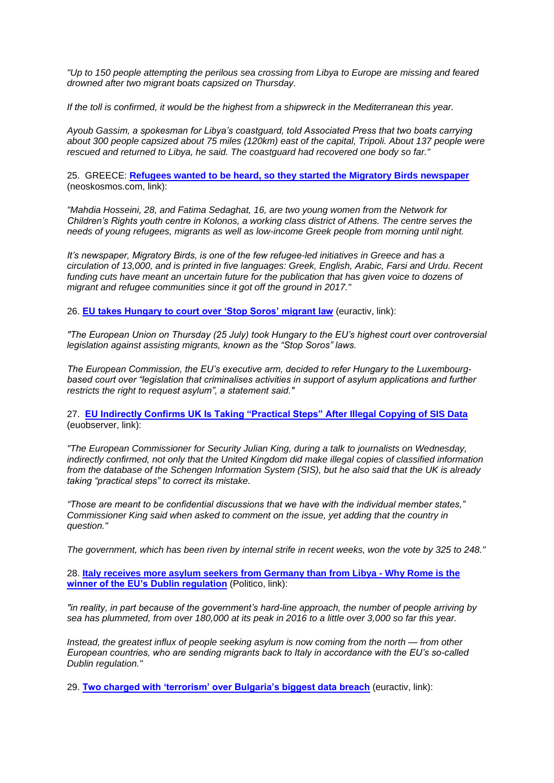*"Up to 150 people attempting the perilous sea crossing from Libya to Europe are missing and feared drowned after two migrant boats capsized on Thursday.*

*If the toll is confirmed, it would be the highest from a shipwreck in the Mediterranean this year.*

*Ayoub Gassim, a spokesman for Libya's coastguard, told Associated Press that two boats carrying about 300 people capsized about 75 miles (120km) east of the capital, Tripoli. About 137 people were rescued and returned to Libya, he said. The coastguard had recovered one body so far."*

25. GREECE: **[Refugees wanted to be heard, so they started the Migratory Birds newspaper](https://neoskosmos.com/en/142146/refugees-wanted-to-be-heard-so-they-started-the-migratory-birds-newspaper/?utm_source=ECRE+Newsletters&utm_campaign=54b1037456-EMAIL_CAMPAIGN_2019_07_26_10_32&utm_medium=email&utm_term=0_3ec9497afd-54b1037456-422304057)** (neoskosmos.com, link):

*"Mahdia Hosseini, 28, and Fatima Sedaghat, 16, are two young women from the Network for Children's Rights youth centre in Kolonos, a working class district of Athens. The centre serves the needs of young refugees, migrants as well as low-income Greek people from morning until night.*

*It's newspaper, Migratory Birds, is one of the few refugee-led initiatives in Greece and has a circulation of 13,000, and is printed in five languages: Greek, English, Arabic, Farsi and Urdu. Recent*  funding cuts have meant an uncertain future for the publication that has given voice to dozens of *migrant and refugee communities since it got off the ground in 2017."*

26. **[EU takes Hungary to court over 'Stop Soros' migrant law](https://www.euractiv.com/section/justice-home-affairs/news/eu-takes-hungary-to-court-over-stop-soros-migrant-law/)** (euractiv, link):

*"The European Union on Thursday (25 July) took Hungary to the EU's highest court over controversial legislation against assisting migrants, known as the "Stop Soros" laws.*

*The European Commission, the EU's executive arm, decided to refer Hungary to the Luxembourgbased court over "legislation that criminalises activities in support of asylum applications and further restricts the right to request asylum", a statement said."*

27. **[EU Indirectly Confirms UK Is Taking "Practical Steps" After Illegal Copying of SIS Data](https://euobserver.com/justice/145530)** (euobserver, link):

*"The European Commissioner for Security Julian King, during a talk to journalists on Wednesday, indirectly confirmed, not only that the United Kingdom did make illegal copies of classified information from the database of the Schengen Information System (SIS), but he also said that the UK is already taking "practical steps" to correct its mistake.*

*"Those are meant to be confidential discussions that we have with the individual member states," Commissioner King said when asked to comment on the issue, yet adding that the country in question."*

*The government, which has been riven by internal strife in recent weeks, won the vote by 325 to 248."*

28. **[Italy receives more asylum seekers from Germany than from Libya -](https://www.politico.eu/article/italy-migration-refugees-receives-more-asylum-seekers-from-germany-than-from-libya/) Why Rome is the [winner of the EU's Dublin regulation](https://www.politico.eu/article/italy-migration-refugees-receives-more-asylum-seekers-from-germany-than-from-libya/)** (Politico, link):

*"in reality, in part because of the government's hard-line approach, the number of people arriving by sea has plummeted, from over 180,000 at its peak in 2016 to a little over 3,000 so far this year.*

*Instead, the greatest influx of people seeking asylum is now coming from the north — from other European countries, who are sending migrants back to Italy in accordance with the EU's so-called Dublin regulation."*

29. **[Two charged with 'terrorism' over Bulgaria's biggest data breach](https://www.euractiv.com/section/data-protection/news/two-charged-with-terrorism-over-bulgarias-biggest-data-breach/)** (euractiv, link):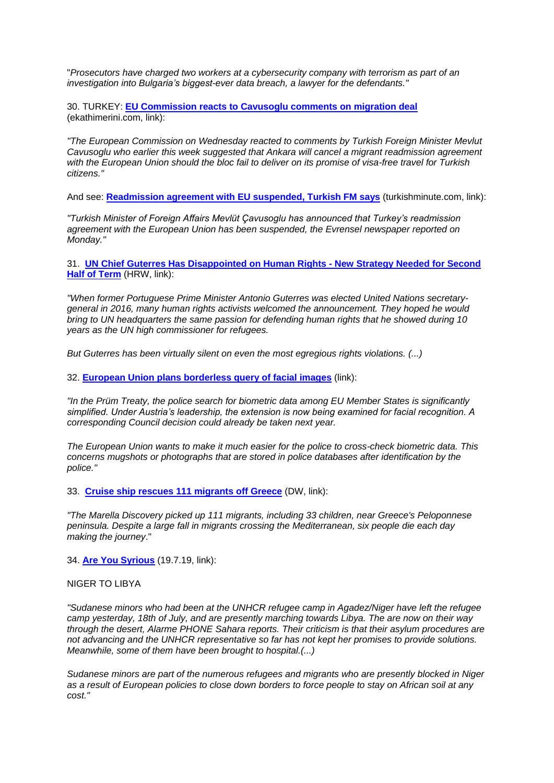"*Prosecutors have charged two workers at a cybersecurity company with terrorism as part of an investigation into Bulgaria's biggest-ever data breach, a lawyer for the defendants."*

30. TURKEY: **[EU Commission reacts to Cavusoglu comments on migration deal](http://www.ekathimerini.com/242932/article/ekathimerini/news/eu-commission-reacts-to-cavusoglu-comments-on-migration-deal)**  (ekathimerini.com, link):

*"The European Commission on Wednesday reacted to comments by Turkish Foreign Minister Mevlut Cavusoglu who earlier this week suggested that Ankara will cancel a migrant readmission agreement with the European Union should the bloc fail to deliver on its promise of visa-free travel for Turkish citizens."*

And see: **[Readmission agreement with EU](https://www.turkishminute.com/2019/07/22/readmission-agreement-with-eu-suspended-turkish-fm-says/?fbclid=IwAR2PG9bDynCj32pu3CiopLf7ilDN_-uEo4Djrv1srX-jBKIlAHC3pKa4UUU) suspended, Turkish FM says** (turkishminute.com, link):

*"Turkish Minister of Foreign Affairs Mevlüt Çavusoglu has announced that Turkey's readmission agreement with the European Union has been suspended, the Evrensel newspaper reported on Monday."*

31. **[UN Chief Guterres Has Disappointed on Human Rights -](https://www.hrw.org/news/2019/07/22/un-chief-guterres-has-disappointed-human-rights) New Strategy Needed for Second [Half of Term](https://www.hrw.org/news/2019/07/22/un-chief-guterres-has-disappointed-human-rights)** (HRW, link):

*"When former Portuguese Prime Minister Antonio Guterres was elected United Nations secretarygeneral in 2016, many human rights activists welcomed the announcement. They hoped he would bring to UN headquarters the same passion for defending human rights that he showed during 10 years as the UN high commissioner for refugees.*

*But Guterres has been virtually silent on even the most egregious rights violations. (...)*

32. **[European Union plans borderless query of facial images](https://digit.site36.net/2019/07/22/european-union-plans-borderless-query-of-facial-images/)** (link):

*"In the Prüm Treaty, the police search for biometric data among EU Member States is significantly simplified. Under Austria's leadership, the extension is now being examined for facial recognition. A corresponding Council decision could already be taken next year.*

*The European Union wants to make it much easier for the police to cross-check biometric data. This concerns mugshots or photographs that are stored in police databases after identification by the police."*

33. **[Cruise ship rescues 111 migrants off Greece](https://www.dw.com/en/cruise-ship-rescues-111-migrants-off-greece/a-49678519)** (DW, link):

*"The Marella Discovery picked up 111 migrants, including 33 children, near Greece's Peloponnese peninsula. Despite a large fall in migrants crossing the Mediterranean, six people die each day making the journey*."

34. **[Are You Syrious](https://medium.com/are-you-syrious/ays-daily-digest-19-7-19-people-marching-from-niger-to-libya-to-escape-limbo-including-minors-1f5176715958)** (19.7.19, link):

#### NIGER TO LIBYA

*"Sudanese minors who had been at the UNHCR refugee camp in Agadez/Niger have left the refugee camp yesterday, 18th of July, and are presently marching towards Libya. The are now on their way through the desert, Alarme PHONE Sahara reports. Their criticism is that their asylum procedures are not advancing and the UNHCR representative so far has not kept her promises to provide solutions. Meanwhile, some of them have been brought to hospital.(...)*

*Sudanese minors are part of the numerous refugees and migrants who are presently blocked in Niger as a result of European policies to close down borders to force people to stay on African soil at any cost."*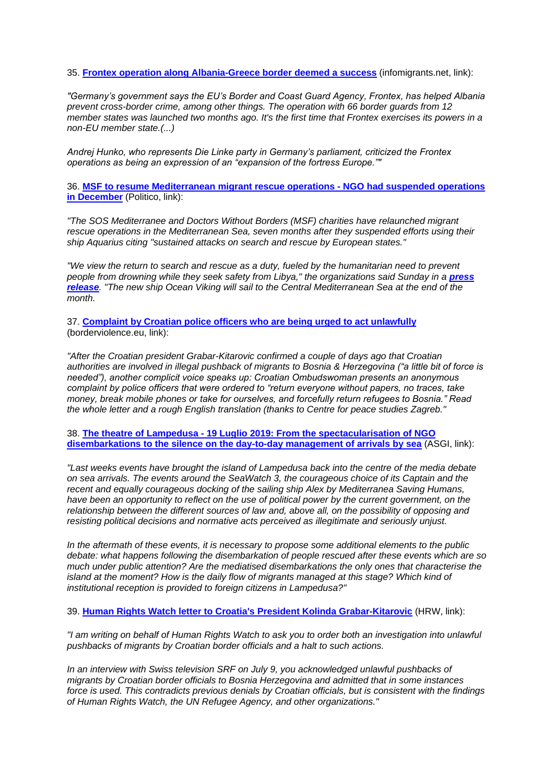35. **[Frontex operation along Albania-Greece border deemed a success](https://www.infomigrants.net/en/post/18237/frontex-operation-along-albania-greece-border-deemed-a-success)** (infomigrants.net, link):

*"Germany's government says the EU's Border and Coast Guard Agency, Frontex, has helped Albania prevent cross-border crime, among other things. The operation with 66 border guards from 12 member states was launched two months ago. It's the first time that Frontex exercises its powers in a non-EU member state.(...)*

*Andrej Hunko, who represents Die Linke party in Germany's parliament, criticized the Frontex operations as being an expression of an "expansion of the fortress Europe.""*

36. **[MSF to resume Mediterranean migrant rescue operations -](https://www.politico.eu/article/msf-to-resume-mediterranean-migrant-rescue-operations/) NGO had suspended operations [in December](https://www.politico.eu/article/msf-to-resume-mediterranean-migrant-rescue-operations/)** (Politico, link):

*"The SOS Mediterranee and Doctors Without Borders (MSF) charities have relaunched migrant rescue operations in the Mediterranean Sea, seven months after they suspended efforts using their ship Aquarius citing "sustained attacks on search and rescue by European states."*

*"We view the return to search and rescue as a duty, fueled by the humanitarian need to prevent people from drowning while they seek safety from Libya." the organizations said Sunday in a press [release](https://www.msf.org/msf-resumes-search-and-rescue-amid-deteriorating-conditions-libya-mediterranean-migration). "The new ship Ocean Viking will sail to the Central Mediterranean Sea at the end of the month.*

37. **[Complaint by Croatian police officers who are being urged to act unlawfully](https://www.borderviolence.eu/complaint-by-croatian-police-officers-who-are-being-urged-to-act-unlawfully/)** (borderviolence.eu, link):

*"After the Croatian president Grabar-Kitarovic confirmed a couple of days ago that Croatian authorities are involved in illegal pushback of migrants to Bosnia & Herzegovina ("a little bit of force is needed"), another complicit voice speaks up: Croatian Ombudswoman presents an anonymous complaint by police officers that were ordered to "return everyone without papers, no traces, take money, break mobile phones or take for ourselves, and forcefully return refugees to Bosnia." Read the whole letter and a rough English translation (thanks to Centre for peace studies Zagreb."*

38. **The theatre of Lampedusa - [19 Luglio 2019: From the spectacularisation of NGO](https://inlimine.asgi.it/the-theatre-of-lampedusa/)  [disembarkations to the silence on the day-to-day management of arrivals by sea](https://inlimine.asgi.it/the-theatre-of-lampedusa/)** (ASGI, link):

*"Last weeks events have brought the island of Lampedusa back into the centre of the media debate on sea arrivals. The events around the SeaWatch 3, the courageous choice of its Captain and the recent and equally courageous docking of the sailing ship Alex by Mediterranea Saving Humans, have been an opportunity to reflect on the use of political power by the current government, on the relationship between the different sources of law and, above all, on the possibility of opposing and resisting political decisions and normative acts perceived as illegitimate and seriously unjust.*

*In the aftermath of these events, it is necessary to propose some additional elements to the public debate: what happens following the disembarkation of people rescued after these events which are so much under public attention? Are the mediatised disembarkations the only ones that characterise the*  island at the moment? How is the daily flow of migrants managed at this stage? Which kind of *institutional reception is provided to foreign citizens in Lampedusa?"*

39. **[Human Rights Watch letter to Croatia's President Kolinda Grabar-Kitarovic](https://www.hrw.org/news/2019/07/15/human-rights-watch-letter-croatias-president-kolinda-grabar-kitarovic)** (HRW, link):

*"I am writing on behalf of Human Rights Watch to ask you to order both an investigation into unlawful pushbacks of migrants by Croatian border officials and a halt to such actions.*

*In an interview with Swiss television SRF on July 9, you acknowledged unlawful pushbacks of migrants by Croatian border officials to Bosnia Herzegovina and admitted that in some instances force is used. This contradicts previous denials by Croatian officials, but is consistent with the findings of Human Rights Watch, the UN Refugee Agency, and other organizations."*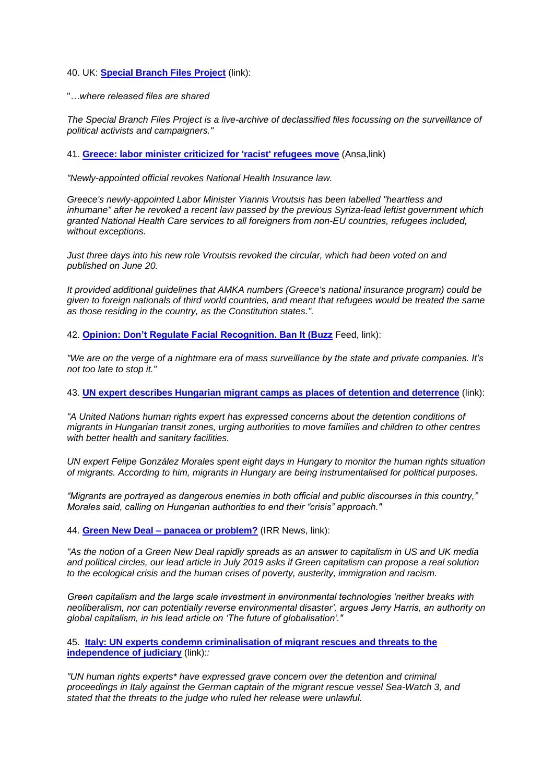#### 40. UK: **[Special Branch Files Project](http://specialbranchfiles.uk/)** (link):

#### "*…where released files are shared*

*The Special Branch Files Project is a live-archive of declassified files focussing on the surveillance of political activists and campaigners."*

41. **[Greece: labor minister criticized for 'racist' refugees move](http://www.ansamed.info/ansamed/en/news/sections/politics/2019/07/17/greece-labor-minister-criticized-for-racist-refugees-move_2d97ce3d-b02d-4b09-9c53-420cccf89e0e.html?utm_source=ECRE+Newsletters&utm_campaign=f3c6c4e950-EMAIL_CAMPAIGN_2019_07_19_10_48&utm_medium=email&utm_term=0_3ec9497afd-f3c6c4e950-422304057)** (Ansa,link)

*"Newly-appointed official revokes National Health Insurance law.*

*Greece's newly-appointed Labor Minister Yiannis Vroutsis has been labelled "heartless and inhumane" after he revoked a recent law passed by the previous Syriza-lead leftist government which granted National Health Care services to all foreigners from non-EU countries, refugees included, without exceptions.*

*Just three days into his new role Vroutsis revoked the circular, which had been voted on and published on June 20.*

*It provided additional guidelines that AMKA numbers (Greece's national insurance program) could be given to foreign nationals of third world countries, and meant that refugees would be treated the same as those residing in the country, as the Constitution states.".*

42. **[Opinion: Don't Regulate Facial Recognition. Ban It \(Buzz](https://www.buzzfeednews.com/article/evangreer/dont-regulate-facial-recognition-ban-it)** Feed, link):

*"We are on the verge of a nightmare era of mass surveillance by the state and private companies. It's not too late to stop it."*

43. **[UN expert describes Hungarian migrant camps as places of detention and deterrence](https://www.euractiv.com/section/global-europe/news/un-expert-describes-hungarian-migrant-camps-as-places-of-detention-and-deterrence/)** (link):

*"A United Nations human rights expert has expressed concerns about the detention conditions of migrants in Hungarian transit zones, urging authorities to move families and children to other centres with better health and sanitary facilities.*

*UN expert Felipe González Morales spent eight days in Hungary to monitor the human rights situation of migrants. According to him, migrants in Hungary are being instrumentalised for political purposes.*

*"Migrants are portrayed as dangerous enemies in both official and public discourses in this country," Morales said, calling on Hungarian authorities to end their "crisis" approach."*

44. **Green New Deal – [panacea or problem?](http://www.irr.org.uk/news/green-new-deal-panacea-or-problem/)** (IRR News, link):

*"As the notion of a Green New Deal rapidly spreads as an answer to capitalism in US and UK media and political circles, our lead article in July 2019 asks if Green capitalism can propose a real solution to the ecological crisis and the human crises of poverty, austerity, immigration and racism.*

*Green capitalism and the large scale investment in environmental technologies 'neither breaks with neoliberalism, nor can potentially reverse environmental disaster', argues Jerry Harris, an authority on global capitalism, in his lead article on 'The future of globalisation'."*

45. **[Italy: UN experts condemn criminalisation of migrant rescues and threats to the](https://www.ohchr.org/EN/NewsEvents/Pages/DisplayNews.aspx?NewsID=24833&LangID=E)  [independence of judiciary](https://www.ohchr.org/EN/NewsEvents/Pages/DisplayNews.aspx?NewsID=24833&LangID=E)** (link):*:*

*"UN human rights experts\* have expressed grave concern over the detention and criminal proceedings in Italy against the German captain of the migrant rescue vessel Sea-Watch 3, and stated that the threats to the judge who ruled her release were unlawful.*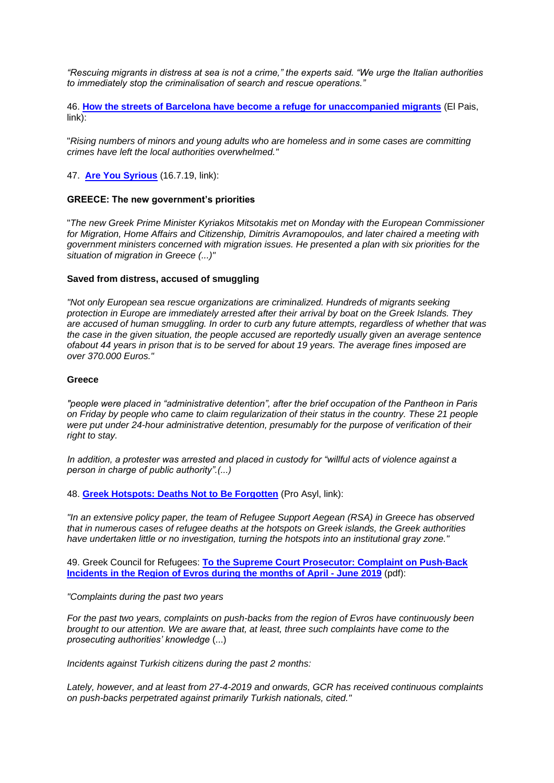*"Rescuing migrants in distress at sea is not a crime," the experts said. "We urge the Italian authorities to immediately stop the criminalisation of search and rescue operations."*

46. **[How the streets of Barcelona have become a refuge for unaccompanied migrants](https://elpais.com/elpais/2019/07/16/inenglish/1563270972_849261.html)** (El Pais,  $\overline{\mathsf{link}$ :

"*Rising numbers of minors and young adults who are homeless and in some cases are committing crimes have left the local authorities overwhelmed."*

47. **[Are You Syrious](https://medium.com/are-you-syrious/ays-daily-digest-16-7-19-silenced-deaths-in-the-city-of-light-b46dde9a93b9)** (16.7.19, link):

#### **GREECE: The new government's priorities**

"*The new Greek Prime Minister Kyriakos Mitsotakis met on Monday with the European Commissioner for Migration, Home Affairs and Citizenship, Dimitris Avramopoulos, and later chaired a meeting with government ministers concerned with migration issues. He presented a plan with six priorities for the situation of migration in Greece (...)"*

#### **Saved from distress, accused of smuggling**

*"Not only European sea rescue organizations are criminalized. Hundreds of migrants seeking protection in Europe are immediately arrested after their arrival by boat on the Greek Islands. They are accused of human smuggling. In order to curb any future attempts, regardless of whether that was the case in the given situation, the people accused are reportedly usually given an average sentence ofabout 44 years in prison that is to be served for about 19 years. The average fines imposed are over 370.000 Euros."*

#### **Greece**

*"people were placed in "administrative detention", after the brief occupation of the Pantheon in Paris on Friday by people who came to claim regularization of their status in the country. These 21 people were put under 24-hour administrative detention, presumably for the purpose of verification of their right to stay.*

*In addition, a protester was arrested and placed in custody for "willful acts of violence against a person in charge of public authority".(...)*

48. **[Greek Hotspots: Deaths Not to Be Forgotten](https://www.proasyl.de/en/news/greek-hotspots-deaths-not-to-be-forgotten/?fbclid=IwAR1Cg_Jabar6-ALHiQwObnoKNS8mSzdI0zjNiRu77ik2j2yoVCp5JmYP8fI)** (Pro Asyl, link):

*"In an extensive policy paper, the team of Refugee Support Aegean (RSA) in Greece has observed that in numerous cases of refugee deaths at the hotspots on Greek islands, the Greek authorities have undertaken little or no investigation, turning the hotspots into an institutional gray zone."*

49. Greek Council for Refugees: **[To the Supreme Court Prosecutor: Complaint on Push-Back](http://www.statewatch.org/news/2019/jul/greek-council-for-refugees-Push-backs%20April-June%202019.pdf)  [Incidents in the Region of Evros during the months of April -](http://www.statewatch.org/news/2019/jul/greek-council-for-refugees-Push-backs%20April-June%202019.pdf) June 2019** (pdf):

*"Complaints during the past two years*

*For the past two years, complaints on push-backs from the region of Evros have continuously been brought to our attention. We are aware that, at least, three such complaints have come to the prosecuting authorities' knowledge* (...)

*Incidents against Turkish citizens during the past 2 months:*

*Lately, however, and at least from 27-4-2019 and onwards, GCR has received continuous complaints on push-backs perpetrated against primarily Turkish nationals, cited."*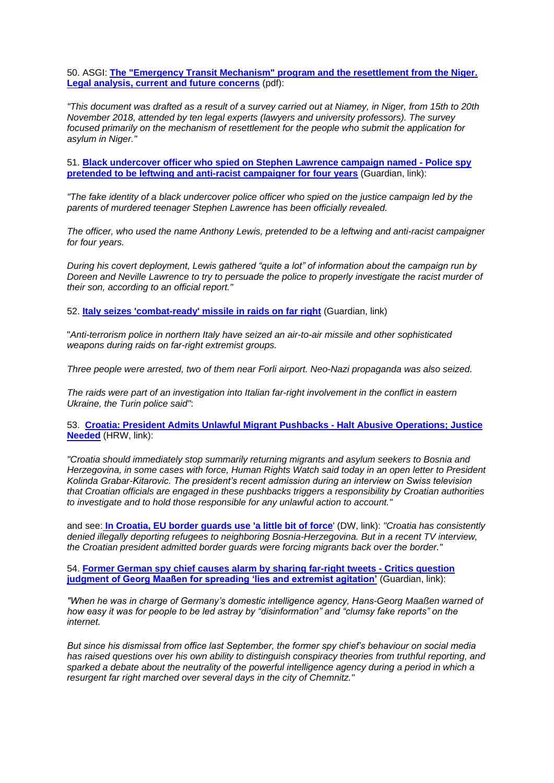50. ASGI: **[The "Emergency Transit Mechanism" program and the resettlement from](http://www.statewatch.org/news/2019/jul/ASGI%20Resettlement%20ETM%20-%20ENGLISH.pdf) the Niger. [Legal analysis, current and future concerns](http://www.statewatch.org/news/2019/jul/ASGI%20Resettlement%20ETM%20-%20ENGLISH.pdf)** (pdf):

*"This document was drafted as a result of a survey carried out at Niamey, in Niger, from 15th to 20th November 2018, attended by ten legal experts (lawyers and university professors). The survey focused primarily on the mechanism of resettlement for the people who submit the application for asylum in Niger."*

51. **[Black undercover officer who spied on Stephen Lawrence campaign named -](https://www.theguardian.com/uk-news/2019/jul/16/black-undercover-officer-who-spied-on-stephen-lawrence-campaign-named?CMP=share_btn_tw) Police spy [pretended to be leftwing and anti-racist campaigner for four years](https://www.theguardian.com/uk-news/2019/jul/16/black-undercover-officer-who-spied-on-stephen-lawrence-campaign-named?CMP=share_btn_tw)** (Guardian, link):

*"The fake identity of a black undercover police officer who spied on the justice campaign led by the parents of murdered teenager Stephen Lawrence has been officially revealed.*

*The officer, who used the name Anthony Lewis, pretended to be a leftwing and anti-racist campaigner for four years.*

*During his covert deployment, Lewis gathered "quite a lot" of information about the campaign run by Doreen and Neville Lawrence to try to persuade the police to properly investigate the racist murder of their son, according to an official report."*

52. **[Italy seizes 'combat-ready' missile in raids on far right](https://www.bbc.co.uk/news/world-europe-48987723)** (Guardian, link)

"*Anti-terrorism police in northern Italy have seized an air-to-air missile and other sophisticated weapons during raids on far-right extremist groups.*

*Three people were arrested, two of them near Forli airport. Neo-Nazi propaganda was also seized.*

*The raids were part of an investigation into Italian far-right involvement in the conflict in eastern Ukraine, the Turin police said"*:

53. **[Croatia: President Admits Unlawful Migrant Pushbacks -](https://www.hrw.org/news/2019/07/15/croatia-president-admits-unlawful-migrant-pushbacks) Halt Abusive Operations; Justice [Needed](https://www.hrw.org/news/2019/07/15/croatia-president-admits-unlawful-migrant-pushbacks)** (HRW, link):

*"Croatia should immediately stop summarily returning migrants and asylum seekers to Bosnia and Herzegovina, in some cases with force, Human Rights Watch said today in an open letter to President Kolinda Grabar-Kitarovic. The president's recent admission during an interview on Swiss television that Croatian officials are engaged in these pushbacks triggers a responsibility by Croatian authorities to investigate and to hold those responsible for any unlawful action to account."*

and see: **In Croatia, [EU border guards use 'a little bit of force](https://www.dw.com/en/in-croatia-eu-border-guards-use-a-little-bit-of-force/a-49587251)**' (DW, link): *"Croatia has consistently denied illegally deporting refugees to neighboring Bosnia-Herzegovina. But in a recent TV interview, the Croatian president admitted border guards were forcing migrants back over the border."*

54. **[Former German spy chief causes alarm by sharing far-right tweets -](https://www.theguardian.com/world/2019/jul/15/former-german-spy-chief-georg-maassen-alarm-sharing-far-right-tweets) Critics question [judgment of Georg Maaßen for spreading 'lies and extremist agitation'](https://www.theguardian.com/world/2019/jul/15/former-german-spy-chief-georg-maassen-alarm-sharing-far-right-tweets)** (Guardian, link):

*"When he was in charge of Germany's domestic intelligence agency, Hans-Georg Maaßen warned of how easy it was for people to be led astray by "disinformation" and "clumsy fake reports" on the internet.*

*But since his dismissal from office last September, the former spy chief's behaviour on social media has raised questions over his own ability to distinguish conspiracy theories from truthful reporting, and*  sparked a debate about the neutrality of the powerful intelligence agency during a period in which a *resurgent far right marched over several days in the city of Chemnitz."*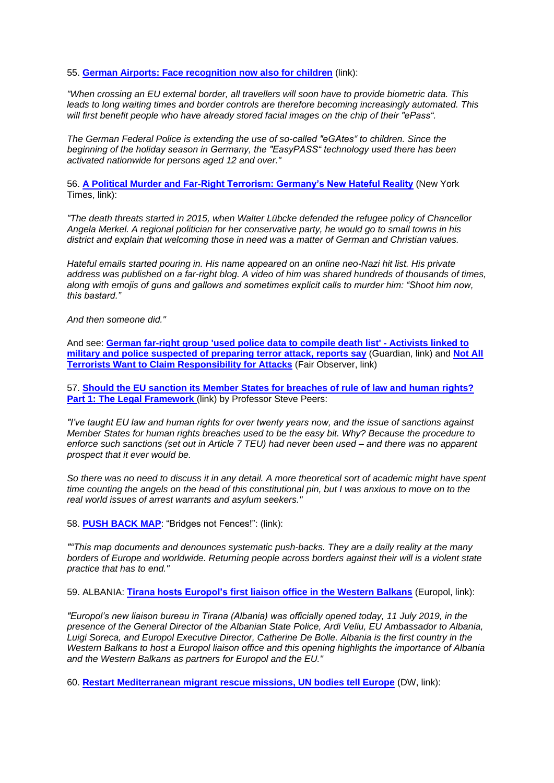55. **[German Airports: Face recognition now also for children](https://digit.site36.net/2019/07/12/german-airports-face-recognition-now-also-for-children/)** (link):

*"When crossing an EU external border, all travellers will soon have to provide biometric data. This leads to long waiting times and border controls are therefore becoming increasingly automated. This will first benefit people who have already stored facial images on the chip of their "ePass".*

*The German Federal Police is extending the use of so-called "eGAtes" to children. Since the beginning of the holiday season in Germany, the "EasyPASS" technology used there has been activated nationwide for persons aged 12 and over."*

56. **[A Political Murder and Far-Right Terrorism: Germany's New Hateful Reality](https://www.nytimes.com/2019/07/07/world/europe/germany-murder-far-right-neo-nazi-luebcke.html)** (New York Times, link):

*"The death threats started in 2015, when Walter Lübcke defended the refugee policy of Chancellor Angela Merkel. A regional politician for her conservative party, he would go to small towns in his district and explain that welcoming those in need was a matter of German and Christian values.*

*Hateful emails started pouring in. His name appeared on an online neo-Nazi hit list. His private address was published on a far-right blog. A video of him was shared hundreds of thousands of times, along with emojis of guns and gallows and sometimes explicit calls to murder him: "Shoot him now, this bastard."*

*And then someone did."*

And see: **[German far-right group 'used police data to compile death list' -](https://www.theguardian.com/world/2019/jun/28/german-far-right-group-used-police-data-to-compile-death-list) Activists linked to [military and police suspected of preparing terror attack, reports say](https://www.theguardian.com/world/2019/jun/28/german-far-right-group-used-police-data-to-compile-death-list)** (Guardian, link) and **[Not All](https://www.fairobserver.com/region/europe/germany-radical-right-terrorism-nsu-europe-security-news-78472/)  [Terrorists Want to Claim Responsibility for Attacks](https://www.fairobserver.com/region/europe/germany-radical-right-terrorism-nsu-europe-security-news-78472/)** (Fair Observer, link)

57. **[Should the EU sanction its Member States for breaches of rule of law and human rights?](http://eulawanalysis.blogspot.com/) Part 1: The Legal Framework** (link) by Professor Steve Peers:

*"I've taught EU law and human rights for over twenty years now, and the issue of sanctions against Member States for human rights breaches used to be the easy bit. Why? Because the procedure to enforce such sanctions (set out in Article 7 TEU) had never been used – and there was no apparent prospect that it ever would be.*

*So there was no need to discuss it in any detail. A more theoretical sort of academic might have spent time counting the angels on the head of this constitutional pin, but I was anxious to move on to the real world issues of arrest warrants and asylum seekers."*

58. **[PUSH BACK MAP](https://pushbackmap.org/)**: "Bridges not Fences!": (link):

*""This map documents and denounces systematic push-backs. They are a daily reality at the many borders of Europe and worldwide. Returning people across borders against their will is a violent state practice that has to end."*

59. ALBANIA: **[Tirana hosts Europol's first liaison office in the Western Balkans](https://www.europol.europa.eu/newsroom/news/tirana-hosts-europol%E2%80%99s-first-liaison-office-in-western-balkans)** (Europol, link):

*"Europol's new liaison bureau in Tirana (Albania) was officially opened today, 11 July 2019, in the presence of the General Director of the Albanian State Police, Ardi Veliu, EU Ambassador to Albania, Luigi Soreca, and Europol Executive Director, Catherine De Bolle. Albania is the first country in the Western Balkans to host a Europol liaison office and this opening highlights the importance of Albania and the Western Balkans as partners for Europol and the EU."*

60. **[Restart Mediterranean migrant rescue missions, UN bodies tell Europe](https://www.dw.com/en/restart-mediterranean-migrant-rescue-missions-un-bodies-tell-europe/a-49561837)** (DW, link):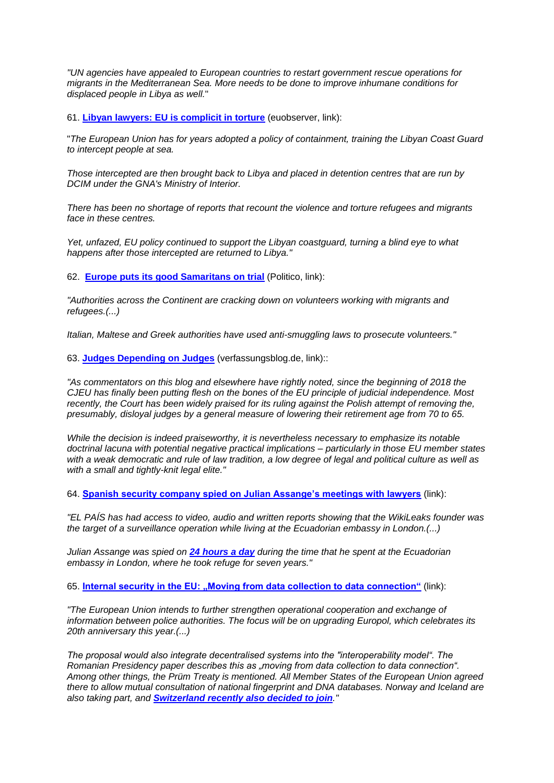*"UN agencies have appealed to European countries to restart government rescue operations for migrants in the Mediterranean Sea. More needs to be done to improve inhumane conditions for displaced people in Libya as well.*"

61. **[Libyan lawyers: EU is complicit in torture](https://euobserver.com/opinion/145412)** (euobserver, link):

"*The European Union has for years adopted a policy of containment, training the Libyan Coast Guard to intercept people at sea.*

*Those intercepted are then brought back to Libya and placed in detention centres that are run by DCIM under the GNA's Ministry of Interior.*

*There has been no shortage of reports that recount the violence and torture refugees and migrants face in these centres.*

*Yet, unfazed, EU policy continued to support the Libyan coastguard, turning a blind eye to what happens after those intercepted are returned to Libya."*

62. **[Europe puts its good Samaritans on trial](https://www.politico.eu/article/europe-migrant-rescue-boat-captains-face-jail-dariush-beigui-carola-rackete/)** (Politico, link):

*"Authorities across the Continent are cracking down on volunteers working with migrants and refugees.(...)*

*Italian, Maltese and Greek authorities have used anti-smuggling laws to prosecute volunteers."*

63. **[Judges Depending on Judges](https://verfassungsblog.de/judges-depending-on-judges/)** (verfassungsblog.de, link)::

*"As commentators on this blog and elsewhere have rightly noted, since the beginning of 2018 the CJEU has finally been putting flesh on the bones of the EU principle of judicial independence. Most recently, the Court has been widely praised for its ruling against the Polish attempt of removing the, presumably, disloyal judges by a general measure of lowering their retirement age from 70 to 65.*

*While the decision is indeed praiseworthy, it is nevertheless necessary to emphasize its notable doctrinal lacuna with potential negative practical implications – particularly in those EU member states with a weak democratic and rule of law tradition, a low degree of legal and political culture as well as with a small and tightly-knit legal elite."*

64. **[Spanish security company spied on Julian Assange's meetings with lawyers](https://elpais.com/elpais/2019/07/09/inenglish/1562663427_224669.html)** (link):

*"EL PAÍS has had access to video, audio and written reports showing that the WikiLeaks founder was the target of a surveillance operation while living at the Ecuadorian embassy in London.(...)*

*Julian Assange was spied on [24 hours a day](https://elpais.com/elpais/2019/04/10/inenglish/1554906053_635126.html) during the time that he spent at the Ecuadorian embassy in London, where he took refuge for seven years."*

65. [Internal security in the EU: "Moving from data collection to data connection"](https://digit.site36.net/2019/07/09/internal-security-in-the-eu-moving-from-data-collection-to-data-connection/) (link):

*"The European Union intends to further strengthen operational cooperation and exchange of information between police authorities. The focus will be on upgrading Europol, which celebrates its 20th anniversary this year.(...)*

*The proposal would also integrate decentralised systems into the "interoperability model". The Romanian Presidency paper describes this as "moving from data collection to data connection". Among other things, the Prüm Treaty is mentioned. All Member States of the European Union agreed there to allow mutual consultation of national fingerprint and DNA databases. Norway and Iceland are also taking part, and [Switzerland recently also decided to join](https://www.eda.admin.ch/dam/dea/de/documents/fs/13-FS-Pruem_de.pdf)."*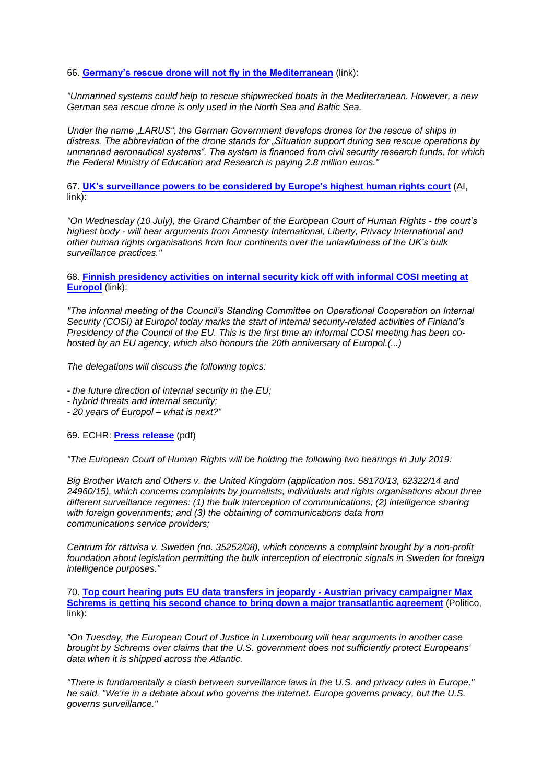66. **[Germany's rescue drone will not fly in the Mediterranean](https://digit.site36.net/2019/07/10/germanys-rescue-drone-will-not-fly-in-the-mediterranean/)** (link):

*"Unmanned systems could help to rescue shipwrecked boats in the Mediterranean. However, a new German sea rescue drone is only used in the North Sea and Baltic Sea.*

*Under the name "LARUS", the German Government develops drones for the rescue of ships in distress. The abbreviation of the drone stands for "Situation support during sea rescue operations by unmanned aeronautical systems". The system is financed from civil security research funds, for which the Federal Ministry of Education and Research is paying 2.8 million euros."*

67. **[UK's surveillance powers to be considered by Europe's highest human rights court](https://www.amnesty.org/en/latest/news/2019/07/uk-surveillance-powers-to-be-considered-by-europes-highest-human-rights-court/)** (AI,  $\overline{\mathsf{link}}$ :

*"On Wednesday (10 July), the Grand Chamber of the European Court of Human Rights - the court's highest body - will hear arguments from Amnesty International, Liberty, Privacy International and other human rights organisations from four continents over the unlawfulness of the UK's bulk surveillance practices."*

68. **[Finnish presidency activities on internal security kick off with informal COSI meeting at](https://www.europol.europa.eu/newsroom/news/finnish-presidency-activities-internal-security-kick-informal-cosi-meeting-europol)  [Europol](https://www.europol.europa.eu/newsroom/news/finnish-presidency-activities-internal-security-kick-informal-cosi-meeting-europol)** (link):

*"The informal meeting of the Council's Standing Committee on Operational Cooperation on Internal Security (COSI) at Europol today marks the start of internal security-related activities of Finland's Presidency of the Council of the EU. This is the first time an informal COSI meeting has been cohosted by an EU agency, which also honours the 20th anniversary of Europol.(...)*

*The delegations will discuss the following topics:*

- *- the future direction of internal security in the EU;*
- *- hybrid threats and internal security;*
- *- 20 years of Europol – what is next?"*

69. ECHR: **[Press release](http://www.statewatch.org/news/2019/jul/echr-big-brother-hearing.pdf)** (pdf)

*"The European Court of Human Rights will be holding the following two hearings in July 2019:*

*Big Brother Watch and Others v. the United Kingdom (application nos. 58170/13, 62322/14 and 24960/15), which concerns complaints by journalists, individuals and rights organisations about three different surveillance regimes: (1) the bulk interception of communications; (2) intelligence sharing with foreign governments; and (3) the obtaining of communications data from communications service providers;*

*Centrum för rättvisa v. Sweden (no. 35252/08), which concerns a complaint brought by a non-profit foundation about legislation permitting the bulk interception of electronic signals in Sweden for foreign intelligence purposes."*

70. **[Top court hearing puts EU data transfers in jeopardy -](https://www.politico.eu/article/max-schrems-facebook-europe-data-protection-privacy/) Austrian privacy campaigner Max [Schrems is getting his second chance to bring down a major transatlantic agreement](https://www.politico.eu/article/max-schrems-facebook-europe-data-protection-privacy/)** (Politico, link):

*"On Tuesday, the European Court of Justice in Luxembourg will hear arguments in another case brought by Schrems over claims that the U.S. government does not sufficiently protect Europeans' data when it is shipped across the Atlantic.*

*"There is fundamentally a clash between surveillance laws in the U.S. and privacy rules in Europe," he said. "We're in a debate about who governs the internet. Europe governs privacy, but the U.S. governs surveillance."*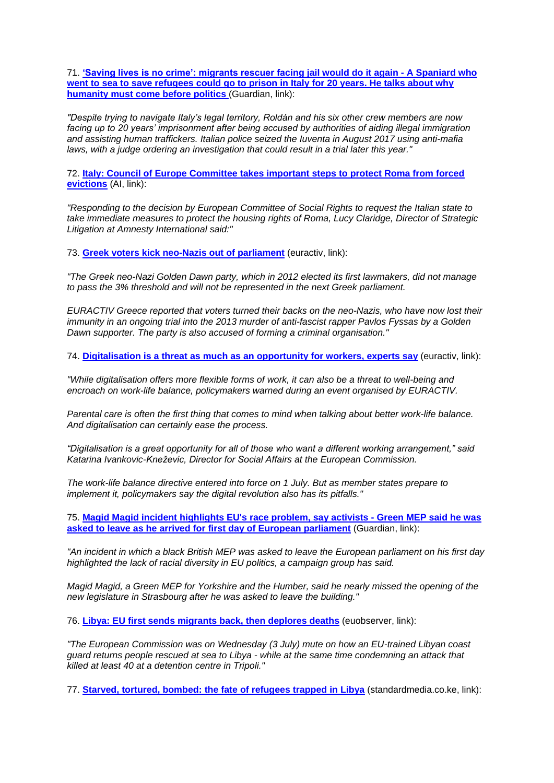71. **['Saving lives is no crime': migrants rescuer facing jail would do it again -](https://www.theguardian.com/world/2019/jul/07/spaniard-rescuer-migrants-refugees-facing-jail-italy) A Spaniard who [went to sea to save refugees could go to prison in Italy for 20 years. He talks about why](https://www.theguardian.com/world/2019/jul/07/spaniard-rescuer-migrants-refugees-facing-jail-italy)  [humanity must come before politics](https://www.theguardian.com/world/2019/jul/07/spaniard-rescuer-migrants-refugees-facing-jail-italy) (Guardian, link):** 

*"Despite trying to navigate Italy's legal territory, Roldán and his six other crew members are now facing up to 20 years' imprisonment after being accused by authorities of aiding illegal immigration and assisting human traffickers. Italian police seized the Iuventa in August 2017 using anti-mafia laws, with a judge ordering an investigation that could result in a trial later this year."*

72. **[Italy: Council of Europe Committee takes important steps to protect Roma from forced](https://www.amnesty.org/en/latest/news/2019/07/italy-council-of-europe-committee-takes-important-steps-to-protect-roma-from-forced-evictions/)  [evictions](https://www.amnesty.org/en/latest/news/2019/07/italy-council-of-europe-committee-takes-important-steps-to-protect-roma-from-forced-evictions/)** (AI, link):

*"Responding to the decision by European Committee of Social Rights to request the Italian state to take immediate measures to protect the housing rights of Roma, Lucy Claridge, Director of Strategic Litigation at Amnesty International said:"*

73. **Greek voters kick [neo-Nazis out of parliament](https://www.euractiv.com/section/politics/news/greek-voters-kick-neo-nazis-out-of-parliament/)** (euractiv, link):

*"The Greek neo-Nazi Golden Dawn party, which in 2012 elected its first lawmakers, did not manage to pass the 3% threshold and will not be represented in the next Greek parliament.*

*EURACTIV Greece reported that voters turned their backs on the neo-Nazis, who have now lost their immunity in an ongoing trial into the 2013 murder of anti-fascist rapper Pavlos Fyssas by a Golden Dawn supporter. The party is also accused of forming a criminal organisation."*

74. **[Digitalisation is a threat as much as an opportunity for workers, experts say](https://www.euractiv.com/section/economy-jobs/news/digitalisation-is-a-threat-as-much-as-an-opportunity-for-workers-experts-say/)** (euractiv, link):

*"While digitalisation offers more flexible forms of work, it can also be a threat to well-being and encroach on work-life balance, policymakers warned during an event organised by EURACTIV.*

*Parental care is often the first thing that comes to mind when talking about better work-life balance. And digitalisation can certainly ease the process.*

*"Digitalisation is a great opportunity for all of those who want a different working arrangement," said Katarina Ivankovic-Kneževic, Director for Social Affairs at the European Commission.*

*The work-life balance directive entered into force on 1 July. But as member states prepare to implement it, policymakers say the digital revolution also has its pitfalls."*

75. **[Magid Magid incident highlights EU's race problem, say activists -](https://www.theguardian.com/world/2019/jul/04/magid-magid-incident-highlights-eus-race-problem-say-activists) Green MEP said he was [asked to leave as he arrived for first day of European parliament](https://www.theguardian.com/world/2019/jul/04/magid-magid-incident-highlights-eus-race-problem-say-activists)** (Guardian, link):

*"An incident in which a black British MEP was asked to leave the European parliament on his first day highlighted the lack of racial diversity in EU politics, a campaign group has said.*

*Magid Magid, a Green MEP for Yorkshire and the Humber, said he nearly missed the opening of the new legislature in Strasbourg after he was asked to leave the building."*

76. **[Libya: EU first sends migrants back, then deplores deaths](https://euobserver.com/migration/145356?utm_source=euobs&utm_medium=email)** (euobserver, link):

*"The European Commission was on Wednesday (3 July) mute on how an EU-trained Libyan coast guard returns people rescued at sea to Libya - while at the same time condemning an attack that killed at least 40 at a detention centre in Tripoli."*

77. **[Starved, tortured, bombed: the fate of refugees trapped in Libya](https://www.standardmedia.co.ke/article/2001332564/starved-tortured-bombed-the-fate-of-refugees-trapped-in-libya)** (standardmedia.co.ke, link):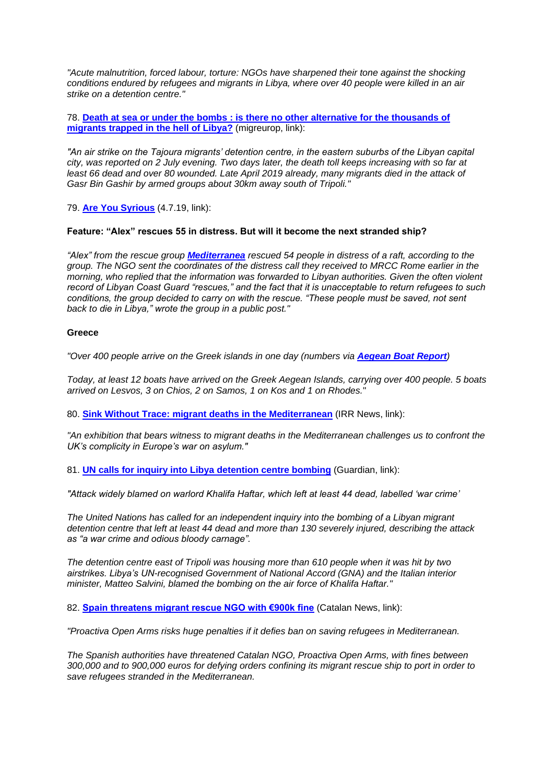*"Acute malnutrition, forced labour, torture: NGOs have sharpened their tone against the shocking conditions endured by refugees and migrants in Libya, where over 40 people were killed in an air strike on a detention centre."*

78. **[Death at sea or under the bombs : is there no other alternative for the thousands of](http://www.migreurop.org/article2932?lang=fr)  [migrants trapped in the hell of Libya?](http://www.migreurop.org/article2932?lang=fr)** (migreurop, link):

*"An air strike on the Tajoura migrants' detention centre, in the eastern suburbs of the Libyan capital city, was reported on 2 July evening. Two days later, the death toll keeps increasing with so far at*  least 66 dead and over 80 wounded. Late April 2019 already, many migrants died in the attack of *Gasr Bin Gashir by armed groups about 30km away south of Tripoli."*

79. **[Are You Syrious](https://medium.com/are-you-syrious/ays-daily-digest-04-07-19-55-people-were-rescued-what-happens-now-d3c7bebbb98)** (4.7.19, link):

#### **Feature: "Alex" rescues 55 in distress. But will it become the next stranded ship?**

*"Alex" from the rescue group [Mediterranea](https://www.facebook.com/Mediterranearescue/?__tn__=%2CdkCH-R-R&eid=ARDDMIw9s50bKq9fOX-VzyZm_nZVQIRLIT6wAnQDw9vCPWLrltTCYTsfZsvm808vzaQxNlmGEd9TuaNQ&hc_ref=ARRp193tVUeiszoBQKLG7_vNePkw8Euye2CqgIiPmlaEvGvhmH0vlmKl4iCR3oVBaFE&fref=nf&hc_location=group) rescued 54 people in distress of a raft, according to the group. The NGO sent the coordinates of the distress call they received to MRCC Rome earlier in the morning, who replied that the information was forwarded to Libyan authorities. Given the often violent record of Libyan Coast Guard "rescues," and the fact that it is unacceptable to return refugees to such conditions, the group decided to carry on with the rescue. "These people must be saved, not sent back to die in Libya," wrote the group in a public post."*

#### **Greece**

*"Over 400 people arrive on the Greek islands in one day (numbers via [Aegean Boat Report](https://www.facebook.com/AegeanBoatReport/posts/605868129936295?hc_location=ufi))*

*Today, at least 12 boats have arrived on the Greek Aegean Islands, carrying over 400 people. 5 boats arrived on Lesvos, 3 on Chios, 2 on Samos, 1 on Kos and 1 on Rhodes.*"

80. **[Sink Without Trace: migrant deaths in the Mediterranean](http://www.irr.org.uk/news/sink-without-trace-migrant-deaths-in-the-mediterranean/)** (IRR News, link):

*"An exhibition that bears witness to migrant deaths in the Mediterranean challenges us to confront the UK's complicity in Europe's war on asylum."*

81. **[UN calls for inquiry into Libya detention centre bombing](https://www.theguardian.com/world/2019/jul/03/air-strike-kill-libya-tripoli-migrant-detention-centre)** (Guardian, link):

*"Attack widely blamed on warlord Khalifa Haftar, which left at least 44 dead, labelled 'war crime'*

*The United Nations has called for an independent inquiry into the bombing of a Libyan migrant detention centre that left at least 44 dead and more than 130 severely injured, describing the attack as "a war crime and odious bloody carnage".*

*The detention centre east of Tripoli was housing more than 610 people when it was hit by two airstrikes. Libya's UN-recognised Government of National Accord (GNA) and the Italian interior minister, Matteo Salvini, blamed the bombing on the air force of Khalifa Haftar."*

82. **[Spain threatens migrant rescue NGO with €900k fine](http://www.catalannews.com/society-science/item/spain-threatens-migrant-rescue-ngo-with-900k-fine)** (Catalan News, link):

*"Proactiva Open Arms risks huge penalties if it defies ban on saving refugees in Mediterranean.*

*The Spanish authorities have threatened Catalan NGO, Proactiva Open Arms, with fines between 300,000 and to 900,000 euros for defying orders confining its migrant rescue ship to port in order to save refugees stranded in the Mediterranean.*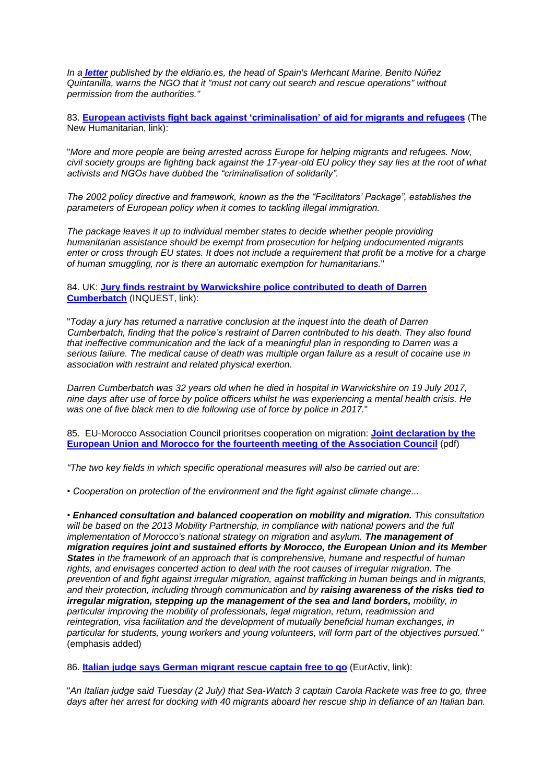*In a [letter](https://www.eldiario.es/desalambre/DOCUMENTO-Gobierno-Open-Arms-Mediterraneo_0_916209114.html) published by the eldiario.es, the head of Spain's Merhcant Marine, Benito Núñez Quintanilla, warns the NGO that it "must not carry out search and rescue operations" without permission from the authorities."*

83. **European activists [fight back against 'criminalisation' of aid for migrants and refugees](http://www.thenewhumanitarian.org/news-feature/2019/06/20/european-activists-fight-criminalisation-aid-migrants-refugees)** (The New Humanitarian, link):

"*More and more people are being arrested across Europe for helping migrants and refugees. Now, civil society groups are fighting back against the 17-year-old EU policy they say lies at the root of what activists and NGOs have dubbed the "criminalisation of solidarity".*

*The 2002 policy directive and framework, known as the the "Facilitators' Package", establishes the parameters of European policy when it comes to tackling illegal immigration.*

*The package leaves it up to individual member states to decide whether people providing humanitarian assistance should be exempt from prosecution for helping undocumented migrants enter or cross through EU states. It does not include a requirement that profit be a motive for a charge of human smuggling, nor is there an automatic exemption for humanitarians.*"

84. UK: **[Jury finds restraint by Warwickshire police contributed to death of Darren](https://www.inquest.org.uk/darren-cumberbatch)  [Cumberbatch](https://www.inquest.org.uk/darren-cumberbatch)** (INQUEST, link):

"*Today a jury has returned a narrative conclusion at the inquest into the death of Darren Cumberbatch, finding that the police's restraint of Darren contributed to his death. They also found that ineffective communication and the lack of a meaningful plan in responding to Darren was a serious failure. The medical cause of death was multiple organ failure as a result of cocaine use in association with restraint and related physical exertion.*

*Darren Cumberbatch was 32 years old when he died in hospital in Warwickshire on 19 July 2017, nine days after use of force by police officers whilst he was experiencing a mental health crisis. He was one of five black men to die following use of force by police in 2017.*"

85. EU-Morocco Association Council prioritses cooperation on migration: **[Joint declaration by the](http://www.statewatch.org/news/2019/jul/eu-morocco-association-council-joint-declaration-6-19.pdf)  [European Union and Morocco for the fourteenth meeting of the Association Council](http://www.statewatch.org/news/2019/jul/eu-morocco-association-council-joint-declaration-6-19.pdf)** (pdf)

*"The two key fields in which specific operational measures will also be carried out are:*

*• Cooperation on protection of the environment and the fight against climate change...*

*• Enhanced consultation and balanced cooperation on mobility and migration. This consultation will be based on the 2013 Mobility Partnership, in compliance with national powers and the full implementation of Morocco's national strategy on migration and asylum. The management of migration requires joint and sustained efforts by Morocco, the European Union and its Member States in the framework of an approach that is comprehensive, humane and respectful of human rights, and envisages concerted action to deal with the root causes of irregular migration. The prevention of and fight against irregular migration, against trafficking in human beings and in migrants, and their protection, including through communication and by raising awareness of the risks tied to irregular migration, stepping up the management of the sea and land borders, mobility, in particular improving the mobility of professionals, legal migration, return, readmission and reintegration, visa facilitation and the development of mutually beneficial human exchanges, in particular for students, young workers and young volunteers, will form part of the objectives pursued."* (emphasis added)

86. **Italian judge [says German migrant rescue captain free to go](https://www.euractiv.com/section/justice-home-affairs/news/italian-judge-says-german-migrant-rescue-captain-free-to-go/)** (EurActiv, link):

"*An Italian judge said Tuesday (2 July) that Sea-Watch 3 captain Carola Rackete was free to go, three days after her arrest for docking with 40 migrants aboard her rescue ship in defiance of an Italian ban.*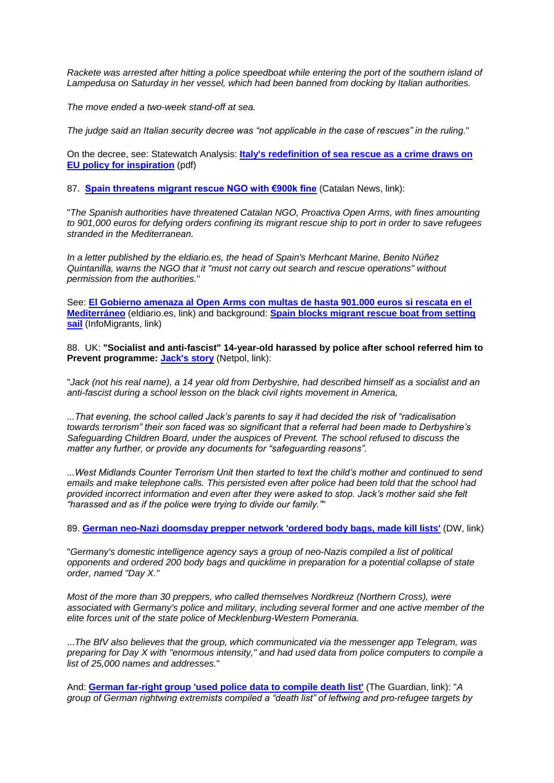*Rackete was arrested after hitting a police speedboat while entering the port of the southern island of Lampedusa on Saturday in her vessel, which had been banned from docking by Italian authorities.*

*The move ended a two-week stand-off at sea.*

*The judge said an Italian security decree was "not applicable in the case of rescues" in the ruling.*"

On the decree, see: Statewatch Analysis: **[Italy's redefinition of sea rescue as a crime draws on](http://www.statewatch.org/analyses/no-341-italy-salvini-boats-directive.pdf)  [EU policy for inspiration](http://www.statewatch.org/analyses/no-341-italy-salvini-boats-directive.pdf)** (pdf)

87. **[Spain threatens migrant rescue NGO with €900k fine](http://www.catalannews.com/society-science/item/spain-threatens-migrant-rescue-ngo-with-900k-fine)** (Catalan News, link):

"*The Spanish authorities have threatened Catalan NGO, Proactiva Open Arms, with fines amounting to 901,000 euros for defying orders confining its migrant rescue ship to port in order to save refugees stranded in the Mediterranean.*

*In a letter published by the eldiario.es, the head of Spain's Merhcant Marine, Benito Núñez Quintanilla, warns the NGO that it "must not carry out search and rescue operations" without permission from the authorities.*"

See: **[El Gobierno amenaza al Open Arms con multas de hasta 901.000 euros si rescata en el](https://www.eldiario.es/desalambre/DOCUMENTO-Gobierno-Open-Arms-Mediterraneo_0_916209114.html)  [Mediterráneo](https://www.eldiario.es/desalambre/DOCUMENTO-Gobierno-Open-Arms-Mediterraneo_0_916209114.html)** (eldiario.es, link) and background: **[Spain blocks migrant rescue boat from setting](https://www.infomigrants.net/en/post/14513/spain-blocks-migrant-rescue-boat-from-setting-sail)  [sail](https://www.infomigrants.net/en/post/14513/spain-blocks-migrant-rescue-boat-from-setting-sail)** (InfoMigrants, link)

88. UK: **"Socialist and anti-fascist" 14-year-old harassed by police after school referred him to Prevent programme: [Jack's story](https://netpol.org/domestic-extremism/key-cases/jacks-story/)** (Netpol, link):

"*Jack (not his real name), a 14 year old from Derbyshire, had described himself as a socialist and an anti-fascist during a school lesson on the black civil rights movement in America,*

*...That evening, the school called Jack's parents to say it had decided the risk of "radicalisation towards terrorism" their son faced was so significant that a referral had been made to Derbyshire's Safeguarding Children Board, under the auspices of Prevent. The school refused to discuss the matter any further, or provide any documents for "safeguarding reasons".*

*...West Midlands Counter Terrorism Unit then started to text the child's mother and continued to send emails and make telephone calls. This persisted even after police had been told that the school had provided incorrect information and even after they were asked to stop. Jack's mother said she felt "harassed and as if the police were trying to divide our family."*"

89. **[German neo-Nazi doomsday prepper network 'ordered body bags, made kill lists'](https://www.dw.com/en/german-neo-nazi-doomsday-prepper-network-ordered-body-bags-made-kill-lists/a-49410494)** (DW, link)

"*Germany's domestic intelligence agency says a group of neo-Nazis compiled a list of political opponents and ordered 200 body bags and quicklime in preparation for a potential collapse of state order, named "Day X."*

*Most of the more than 30 preppers, who called themselves Nordkreuz (Northern Cross), were associated with Germany's police and military, including several former and one active member of the elite forces unit of the state police of Mecklenburg-Western Pomerania.*

...*The BfV also believes that the group, which communicated via the messenger app Telegram, was preparing for Day X with "enormous intensity," and had used data from police computers to compile a list of 25,000 names and addresses.*"

And: **[German far-right group 'used police data to compile death list'](https://www.theguardian.com/world/2019/jun/28/german-far-right-group-used-police-data-to-compile-death-list)** (The Guardian, link): "*A group of German rightwing extremists compiled a "death list" of leftwing and pro-refugee targets by*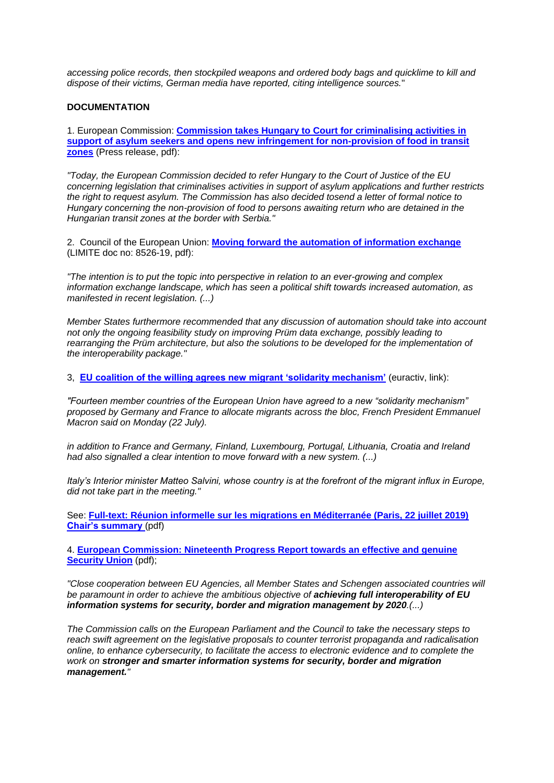*accessing police records, then stockpiled weapons and ordered body bags and quicklime to kill and dispose of their victims, German media have reported, citing intelligence sources.*"

#### **DOCUMENTATION**

1. European Commission: **[Commission takes Hungary to Court for criminalising activities in](http://www.statewatch.org/news/2019/jul/eu-com-hungary-court-crimianalissing-prel.pdf)  [support of asylum seekers and opens new infringement for non-provision of food in transit](http://www.statewatch.org/news/2019/jul/eu-com-hungary-court-crimianalissing-prel.pdf)  [zones](http://www.statewatch.org/news/2019/jul/eu-com-hungary-court-crimianalissing-prel.pdf)** (Press release, pdf):

*"Today, the European Commission decided to refer Hungary to the Court of Justice of the EU concerning legislation that criminalises activities in support of asylum applications and further restricts the right to request asylum. The Commission has also decided tosend a letter of formal notice to Hungary concerning the non-provision of food to persons awaiting return who are detained in the Hungarian transit zones at the border with Serbia."*

2. Council of the European Union: **[Moving forward the automation of information exchange](http://www.statewatch.org/news/2019/jul/eu-council-automation-Information-Exchange-8526-19.pdf)** (LIMITE doc no: 8526-19, pdf):

*"The intention is to put the topic into perspective in relation to an ever-growing and complex information exchange landscape, which has seen a political shift towards increased automation, as manifested in recent legislation. (...)*

*Member States furthermore recommended that any discussion of automation should take into account not only the ongoing feasibility study on improving Prüm data exchange, possibly leading to rearranging the Prüm architecture, but also the solutions to be developed for the implementation of the interoperability package."*

3, **[EU coalition of the willing agrees new migrant 'solidarity mechanism'](https://www.euractiv.com/section/justice-home-affairs/news/eu-coalition-of-the-willing-agrees-new-migrant-solidarity-mechanism/)** (euractiv, link):

*"Fourteen member countries of the European Union have agreed to a new "solidarity mechanism" proposed by Germany and France to allocate migrants across the bloc, French President Emmanuel Macron said on Monday (22 July).*

*in addition to France and Germany, Finland, Luxembourg, Portugal, Lithuania, Croatia and Ireland had also signalled a clear intention to move forward with a new system. (...)*

*Italy's Interior minister Matteo Salvini, whose country is at the forefront of the migrant influx in Europe, did not take part in the meeting."*

See: **[Full-text: Réunion informelle sur les migrations en Méditerranée \(Paris, 22 juillet 2019\)](http://www.statewatch.org/news/2019/jul/eu-paris%20-22-07-19-asylum-Informal-Meeting.pdf)  [Chair's summary](http://www.statewatch.org/news/2019/jul/eu-paris%20-22-07-19-asylum-Informal-Meeting.pdf)** (pdf)

4. **[European Commission: Nineteenth Progress Report towards an effective and genuine](http://www.statewatch.org/news/2019/jul/eu-com-353-19th-security-report.pdf)  [Security Union](http://www.statewatch.org/news/2019/jul/eu-com-353-19th-security-report.pdf)** (pdf);

*"Close cooperation between EU Agencies, all Member States and Schengen associated countries will be paramount in order to achieve the ambitious objective of achieving full interoperability of EU information systems for security, border and migration management by 2020.(...)*

*The Commission calls on the European Parliament and the Council to take the necessary steps to reach swift agreement on the legislative proposals to counter terrorist propaganda and radicalisation online, to enhance cybersecurity, to facilitate the access to electronic evidence and to complete the work on stronger and smarter information systems for security, border and migration management."*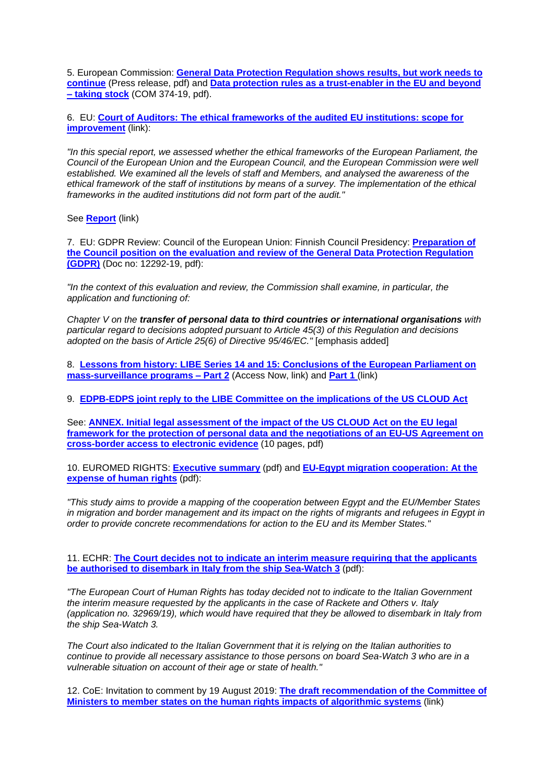5. European Commission: **[General Data Protection Regulation shows results, but work needs to](http://www.statewatch.org/news/2019/jul/eu-com-gdpr-report-prel.pdf)  [continue](http://www.statewatch.org/news/2019/jul/eu-com-gdpr-report-prel.pdf)** (Press release, pdf) and **[Data protection rules as a trust-enabler in the EU and beyond](http://www.statewatch.org/news/2019/jul/eu-com-374-report-gdpr.pdf)  – [taking stock](http://www.statewatch.org/news/2019/jul/eu-com-374-report-gdpr.pdf)** (COM 374-19, pdf).

6. EU: **[Court of Auditors: The ethical frameworks of the audited EU institutions: scope for](https://www.eca.europa.eu/en/Pages/DocItem.aspx?did=50742)  [improvement](https://www.eca.europa.eu/en/Pages/DocItem.aspx?did=50742)** (link):

*"In this special report, we assessed whether the ethical frameworks of the European Parliament, the Council of the European Union and the European Council, and the European Commission were well established. We examined all the levels of staff and Members, and analysed the awareness of the ethical framework of the staff of institutions by means of a survey. The implementation of the ethical frameworks in the audited institutions did not form part of the audit."*

See **[Report](https://www.eca.europa.eu/Lists/ECADocuments/SR19_13/SR_ethical_frameworks_EN.pdf)** (link)

7. EU: GDPR Review: Council of the European Union: Finnish Council Presidency: **[Preparation of](http://www.statewatch.org/news/2019/jul/eu-council-gdpr-review-11292-19.pdf)  [the Council position on the evaluation and review of the General Data Protection Regulation](http://www.statewatch.org/news/2019/jul/eu-council-gdpr-review-11292-19.pdf)  [\(GDPR\)](http://www.statewatch.org/news/2019/jul/eu-council-gdpr-review-11292-19.pdf)** (Doc no: 12292-19, pdf):

*"In the context of this evaluation and review, the Commission shall examine, in particular, the application and functioning of:*

*Chapter V on the transfer of personal data to third countries or international organisations with particular regard to decisions adopted pursuant to Article 45(3) of this Regulation and decisions adopted on the basis of Article 25(6) of Directive 95/46/EC."* [emphasis added]

8. **[Lessons from history: LIBE Series 14 and 15: Conclusions of the European Parliament on](https://www.accessnow.org/libe-series-14-and-15-conclusions-of-the-european-parliament-on-mass-survei/)  [mass-surveillance programs –](https://www.accessnow.org/libe-series-14-and-15-conclusions-of-the-european-parliament-on-mass-survei/) Part 2** (Access Now, link) and **[Part 1](https://www.accessnow.org/libe-series-12-and-13-conclusions-of-the-european-parliament-on-mass-survei/)** (link)

9. **[EDPB-EDPS joint reply to the LIBE Committee on the implications of the US CLOUD Act](http://www.statewatch.org/news/2019/jul/edps-us-cloud.htm)**

See: **[ANNEX. Initial legal assessment of the impact of the US CLOUD Act on the EU legal](http://www.statewatch.org/news/2019/jul/eu-edpb-edps-joint-response-us-cloud-act-annex.pdf)  [framework for the protection of personal data and the negotiations of](http://www.statewatch.org/news/2019/jul/eu-edpb-edps-joint-response-us-cloud-act-annex.pdf) an EU-US Agreement on [cross-border access to electronic evidence](http://www.statewatch.org/news/2019/jul/eu-edpb-edps-joint-response-us-cloud-act-annex.pdf)** (10 pages, pdf)

10. EUROMED RIGHTS: **[Executive summary](http://www.statewatch.org/news/2019/jul/Executive-Summary-AR-report-on-EU-Egypt-cooperation-on-migration.pdf)** (pdf) and **[EU-Egypt migration cooperation: At the](http://www.statewatch.org/news/2019/jul/Report-on-EU-Egypt-cooperation-on-migration%20.pdf)  [expense of human rights](http://www.statewatch.org/news/2019/jul/Report-on-EU-Egypt-cooperation-on-migration%20.pdf)** (pdf):

*"This study aims to provide a mapping of the cooperation between Egypt and the EU/Member States*  in migration and border management and its impact on the rights of migrants and refugees in Egypt in *order to provide concrete recommendations for action to the EU and its Member States."*

11. ECHR: **[The Court decides not to indicate an interim measure requiring that the applicants](http://www.statewatch.org/news/2019/jul/echr-Italy-interim-measure-refused-case-of-Sea-Watch.pdf)  [be authorised to disembark in Italy from the ship Sea-Watch 3](http://www.statewatch.org/news/2019/jul/echr-Italy-interim-measure-refused-case-of-Sea-Watch.pdf)** (pdf):

*"The European Court of Human Rights has today decided not to indicate to the Italian Government the interim measure requested by the applicants in the case of Rackete and Others v. Italy (application no. 32969/19), which would have required that they be allowed to disembark in Italy from the ship Sea-Watch 3.*

*The Court also indicated to the Italian Government that it is relying on the Italian authorities to continue to provide all necessary assistance to those persons on board Sea-Watch 3 who are in a vulnerable situation on account of their age or state of health."*

12. CoE: Invitation to comment by 19 August 2019: **[The draft recommendation of the Committee of](https://www.coe.int/en/web/freedom-expression/-/invitation-to-comment-by-19-august-2019)  [Ministers to member states on the human rights impacts of algorithmic systems](https://www.coe.int/en/web/freedom-expression/-/invitation-to-comment-by-19-august-2019)** (link)